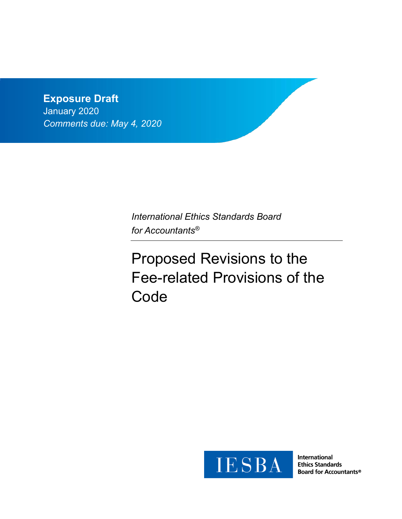## **Exposure Draft**

January 2020 *Comments due: May 4, 2020*

> *International Ethics Standards Board for Accountants®*

# Proposed Revisions to the Fee-related Provisions of the **Code**



**International Ethics Standards Board for Accountants®**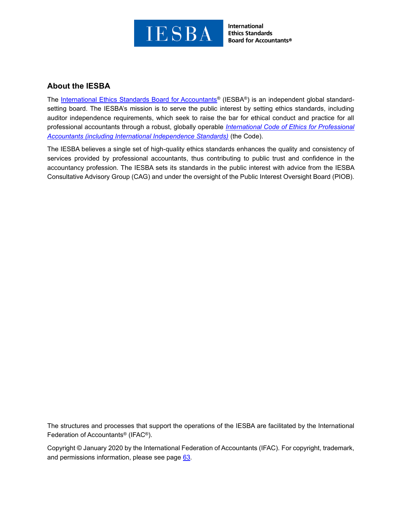

**International Ethics Standards Board for Accountants®** 

## **About the IESBA**

The [International Ethics Standards Board for Accountants](http://www.ethicsboard.org/)<sup>®</sup> (IESBA<sup>®</sup>) is an independent global standardsetting board. The IESBA's mission is to serve the public interest by setting ethics standards, including auditor independence requirements, which seek to raise the bar for ethical conduct and practice for all professional accountants through a robust, globally operable *[International Code of Ethics for Professional](https://www.ethicsboard.org/international-code-ethics-professional-accountants)  [Accountants \(including International Independence Standards\)](https://www.ethicsboard.org/international-code-ethics-professional-accountants)* (the Code).

The IESBA believes a single set of high-quality ethics standards enhances the quality and consistency of services provided by professional accountants, thus contributing to public trust and confidence in the accountancy profession. The IESBA sets its standards in the public interest with advice from the IESBA Consultative Advisory Group (CAG) and under the oversight of the Public Interest Oversight Board (PIOB).

The structures and processes that support the operations of the IESBA are facilitated by the International Federation of Accountants® (IFAC®).

Copyright © January 2020 by the International Federation of Accountants (IFAC). For copyright, trademark, and permissions information, please see page [63.](#page-62-0)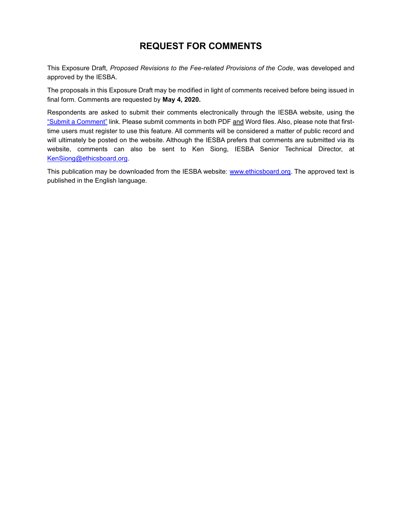## **REQUEST FOR COMMENTS**

This Exposure Draft, *Proposed Revisions to the Fee-related Provisions of the Code*, was developed and approved by the IESBA.

The proposals in this Exposure Draft may be modified in light of comments received before being issued in final form. Comments are requested by **May 4, 2020.**

Respondents are asked to submit their comments electronically through the IESBA website, using the ["Submit a Comment"](https://www.ethicsboard.org/exposure-draft/submit-comment?exposure-draft=279072) link. Please submit comments in both PDF and Word files. Also, please note that firsttime users must register to use this feature. All comments will be considered a matter of public record and will ultimately be posted on the website. Although the IESBA prefers that comments are submitted via its website, comments can also be sent to Ken Siong, IESBA Senior Technical Director, at [KenSiong@ethicsboard.org.](mailto:KenSiong@ethicsboard.org)

This publication may be downloaded from the IESBA website: [www.ethicsboard.org.](http://www.ethicsboard.org/) The approved text is published in the English language.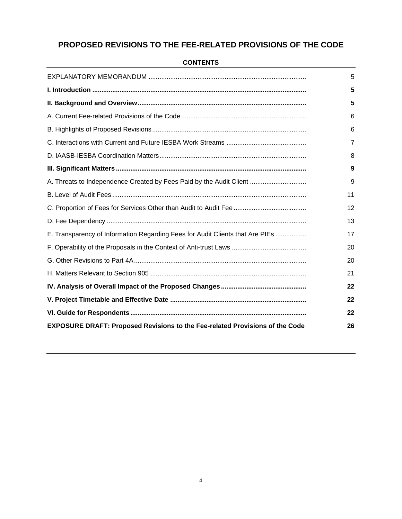## **PROPOSED REVISIONS TO THE FEE-RELATED PROVISIONS OF THE CODE**

|                                                                                     | 5              |
|-------------------------------------------------------------------------------------|----------------|
|                                                                                     | 5              |
|                                                                                     | 5              |
|                                                                                     | 6              |
|                                                                                     | 6              |
|                                                                                     | $\overline{7}$ |
|                                                                                     | 8              |
|                                                                                     | 9              |
| A. Threats to Independence Created by Fees Paid by the Audit Client                 | 9              |
|                                                                                     | 11             |
|                                                                                     | 12             |
|                                                                                     | 13             |
| E. Transparency of Information Regarding Fees for Audit Clients that Are PIEs       | 17             |
|                                                                                     | 20             |
|                                                                                     | 20             |
|                                                                                     | 21             |
|                                                                                     | 22             |
|                                                                                     | 22             |
|                                                                                     | 22             |
| <b>EXPOSURE DRAFT: Proposed Revisions to the Fee-related Provisions of the Code</b> | 26             |

#### **CONTENTS**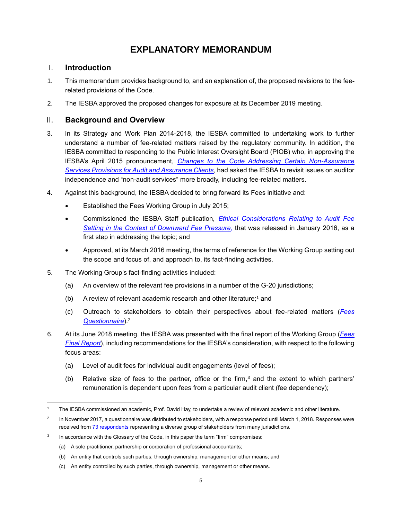## **EXPLANATORY MEMORANDUM**

## <span id="page-4-1"></span><span id="page-4-0"></span>I. **Introduction**

- 1. This memorandum provides background to, and an explanation of, the proposed revisions to the feerelated provisions of the Code.
- <span id="page-4-2"></span>2. The IESBA approved the proposed changes for exposure at its December 2019 meeting.

## II. **Background and Overview**

- 3. In its Strategy and Work Plan 2014-2018, the IESBA committed to undertaking work to further understand a number of fee-related matters raised by the regulatory community. In addition, the IESBA committed to responding to the Public Interest Oversight Board (PIOB) who, in approving the IESBA's April 2015 pronouncement, *[Changes to the Code Addressing Certain Non-Assurance](http://www.ifac.org/publications-resources/changes-code-addressing-certain-non-assurance-services-provisions-audit-and-a)  [Services Provisions for Audit and Assurance Clients](http://www.ifac.org/publications-resources/changes-code-addressing-certain-non-assurance-services-provisions-audit-and-a)*, had asked the IESBA to revisit issues on auditor independence and "non-audit services" more broadly, including fee-related matters.
- 4. Against this background, the IESBA decided to bring forward its Fees initiative and:
	- Established the Fees Working Group in July 2015;
	- Commissioned the IESBA Staff publication, *[Ethical Considerations Relating to Audit Fee](https://www.ethicsboard.org/publications/ethical-considerations-relating-audit-fee-setting-context-downward-fee-pressure-3)  [Setting in the Context of Downward Fee Pressure](https://www.ethicsboard.org/publications/ethical-considerations-relating-audit-fee-setting-context-downward-fee-pressure-3)*, that was released in January 2016, as a first step in addressing the topic; and
	- Approved, at its March 2016 meeting, the terms of reference for the Working Group setting out the scope and focus of, and approach to, its fact-finding activities.
- 5. The Working Group's fact-finding activities included:
	- (a) An overview of the relevant fee provisions in a number of the G-20 jurisdictions;
	- (b) A review of relevant academic research and other literature; <sup>1</sup> and
	- (c) Outreach to stakeholders to obtain their perspectives about fee-related matters (*[Fees](https://www.ifac.org/publications-resources/iesba-fees-questionnaire)  [Questionnaire](https://www.ifac.org/publications-resources/iesba-fees-questionnaire)*).<sup>2</sup>
- 6. At its June 2018 meeting, the IESBA was presented with the final report of the Working Group (*[Fees](https://www.ethicsboard.org/system/files/meetings/files/Agenda-Item-3A-Report-of-the-Fees-Working-Group.pdf)  [Final Report](https://www.ethicsboard.org/system/files/meetings/files/Agenda-Item-3A-Report-of-the-Fees-Working-Group.pdf)*), including recommendations for the IESBA's consideration, with respect to the following focus areas:
	- (a) Level of audit fees for individual audit engagements (level of fees);
	- (b) Relative size of fees to the partner, office or the firm,<sup>3</sup> and the extent to which partners' remuneration is dependent upon fees from a particular audit client (fee dependency);

<sup>1</sup> The IESBA commissioned an academic, Prof. David Hay, to undertake a review of relevant academic and other literature.

<sup>2</sup> In November 2017, a questionnaire was distributed to stakeholders, with a response period until March 1, 2018. Responses were received fro[m 73 respondents](http://www.ifac.org/publications-resources/iesba-fees-questionnaire) representing a diverse group of stakeholders from many jurisdictions.

<sup>3</sup> In accordance with the Glossary of the Code, in this paper the term "firm" compromises:

<sup>(</sup>a) A sole practitioner, partnership or corporation of professional accountants;

<sup>(</sup>b) An entity that controls such parties, through ownership, management or other means; and

<sup>(</sup>c) An entity controlled by such parties, through ownership, management or other means.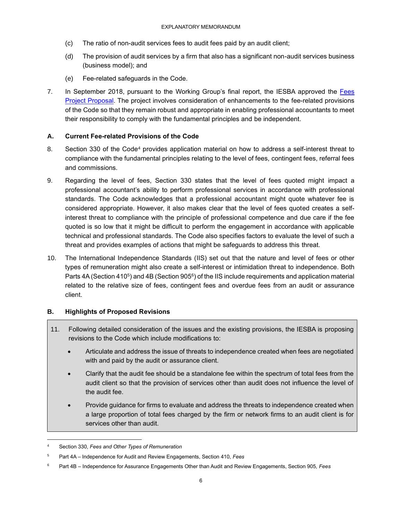- (c) The ratio of non-audit services fees to audit fees paid by an audit client;
- (d) The provision of audit services by a firm that also has a significant non-audit services business (business model); and
- (e) Fee-related safeguards in the Code.
- 7. In September 2018, pursuant to the Working Group's [final report,](http://www.ethicsboard.org/system/files/meetings/files/Agenda-Item-3A-Report-of-the-Fees-Working-Group.pdf) the IESBA approved the [Fees](http://www.ethicsboard.org/system/files/meetings/files/Agenda-Item-4-Fees-Project-Proposal-Approved.pdf)  [Project Proposal.](http://www.ethicsboard.org/system/files/meetings/files/Agenda-Item-4-Fees-Project-Proposal-Approved.pdf) The project involves consideration of enhancements to the fee-related provisions of the Code so that they remain robust and appropriate in enabling professional accountants to meet their responsibility to comply with the fundamental principles and be independent.

## <span id="page-5-0"></span>**A. Current Fee-related Provisions of the Code**

- 8. Section 330 of the Code<sup>4</sup> provides application material on how to address a self-interest threat to compliance with the fundamental principles relating to the level of fees, contingent fees, referral fees and commissions.
- 9. Regarding the level of fees, Section 330 states that the level of fees quoted might impact a professional accountant's ability to perform professional services in accordance with professional standards. The Code acknowledges that a professional accountant might quote whatever fee is considered appropriate. However, it also makes clear that the level of fees quoted creates a selfinterest threat to compliance with the principle of professional competence and due care if the fee quoted is so low that it might be difficult to perform the engagement in accordance with applicable technical and professional standards. The Code also specifies factors to evaluate the level of such a threat and provides examples of actions that might be safeguards to address this threat.
- 10. The International Independence Standards (IIS) set out that the nature and level of fees or other types of remuneration might also create a self-interest or intimidation threat to independence. Both Parts 4A (Section 410<sup>5</sup>) and 4B (Section 905<sup>6</sup>) of the IIS include requirements and application material related to the relative size of fees, contingent fees and overdue fees from an audit or assurance client.

## <span id="page-5-1"></span>**B. Highlights of Proposed Revisions**

- 11. Following detailed consideration of the issues and the existing provisions, the IESBA is proposing revisions to the Code which include modifications to:
	- Articulate and address the issue of threats to independence created when fees are negotiated with and paid by the audit or assurance client.
	- Clarify that the audit fee should be a standalone fee within the spectrum of total fees from the audit client so that the provision of services other than audit does not influence the level of the audit fee.
	- Provide guidance for firms to evaluate and address the threats to independence created when a large proportion of total fees charged by the firm or network firms to an audit client is for services other than audit.

<sup>4</sup> Section 330, *Fees and Other Types of Remuneration*

<sup>5</sup> Part 4A – Independence for Audit and Review Engagements, Section 410, *Fees*

<sup>6</sup> Part 4B – Independence for Assurance Engagements Other than Audit and Review Engagements, Section 905, *Fees*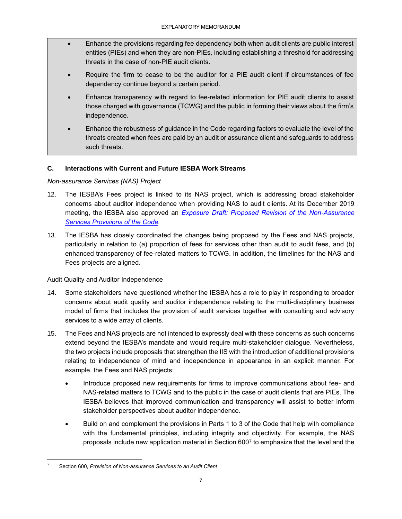- Enhance the provisions regarding fee dependency both when audit clients are public interest entities (PIEs) and when they are non-PIEs, including establishing a threshold for addressing threats in the case of non-PIE audit clients.
- Require the firm to cease to be the auditor for a PIE audit client if circumstances of fee dependency continue beyond a certain period.
- Enhance transparency with regard to fee-related information for PIE audit clients to assist those charged with governance (TCWG) and the public in forming their views about the firm's independence.
- Enhance the robustness of guidance in the Code regarding factors to evaluate the level of the threats created when fees are paid by an audit or assurance client and safeguards to address such threats.

## <span id="page-6-0"></span>**C. Interactions with Current and Future IESBA Work Streams**

## *Non-assurance Services (NAS) Project*

- 12. The IESBA's Fees project is linked to its NAS project, which is addressing broad stakeholder concerns about auditor independence when providing NAS to audit clients. At its December 2019 meeting, the IESBA also approved an *[Exposure Draft: Proposed Revision of the Non-Assurance](https://www.ifac.org/system/files/publications/files/FINAL-IESBA-ED-Proposed-Revisions-to-the-NAS-Provisions-of-the-Code.pdf)  [Services Provisions of the Code.](https://www.ifac.org/system/files/publications/files/FINAL-IESBA-ED-Proposed-Revisions-to-the-NAS-Provisions-of-the-Code.pdf)*
- 13. The IESBA has closely coordinated the changes being proposed by the Fees and NAS projects, particularly in relation to (a) proportion of fees for services other than audit to audit fees, and (b) enhanced transparency of fee-related matters to TCWG. In addition, the timelines for the NAS and Fees projects are aligned.

### Audit Quality and Auditor Independence

- 14. Some stakeholders have questioned whether the IESBA has a role to play in responding to broader concerns about audit quality and auditor independence relating to the multi-disciplinary business model of firms that includes the provision of audit services together with consulting and advisory services to a wide array of clients.
- 15. The Fees and NAS projects are not intended to expressly deal with these concerns as such concerns extend beyond the IESBA's mandate and would require multi-stakeholder dialogue. Nevertheless, the two projects include proposals that strengthen the IIS with the introduction of additional provisions relating to independence of mind and independence in appearance in an explicit manner. For example, the Fees and NAS projects:
	- Introduce proposed new requirements for firms to improve communications about fee- and NAS-related matters to TCWG and to the public in the case of audit clients that are PIEs. The IESBA believes that improved communication and transparency will assist to better inform stakeholder perspectives about auditor independence.
	- Build on and complement the provisions in Parts 1 to 3 of the Code that help with compliance with the fundamental principles, including integrity and objectivity. For example, the NAS proposals include new application material in Section 600<sup>7</sup> to emphasize that the level and the

<sup>7</sup> Section 600, *Provision of Non-assurance Services to an Audit Client*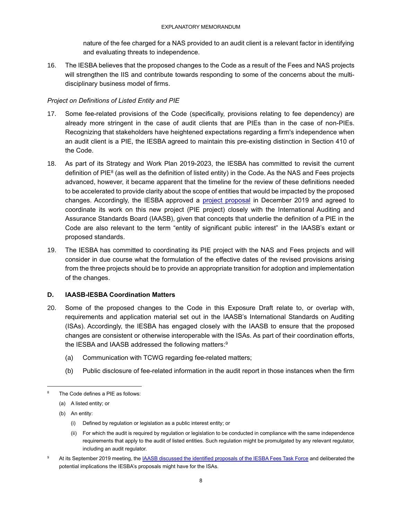nature of the fee charged for a NAS provided to an audit client is a relevant factor in identifying and evaluating threats to independence.

16. The IESBA believes that the proposed changes to the Code as a result of the Fees and NAS projects will strengthen the IIS and contribute towards responding to some of the concerns about the multidisciplinary business model of firms.

## *Project on Definitions of Listed Entity and PIE*

- 17. Some fee-related provisions of the Code (specifically, provisions relating to fee dependency) are already more stringent in the case of audit clients that are PIEs than in the case of non-PIEs. Recognizing that stakeholders have heightened expectations regarding a firm's independence when an audit client is a PIE, the IESBA agreed to maintain this pre-existing distinction in Section 410 of the Code.
- 18. As part of its Strategy and Work Plan 2019-2023, the IESBA has committed to revisit the current definition of PIE $^8$  (as well as the definition of listed entity) in the Code. As the NAS and Fees projects advanced, however, it became apparent that the timeline for the review of these definitions needed to be accelerated to provide clarity about the scope of entities that would be impacted by the proposed changes. Accordingly, the IESBA approved a [project proposal](https://www.ifac.org/system/files/meetings/files/Agenda-Item-3-Definitions-of-Listed-Entity-and-PIE-Approved-Project-Proposal.pdf) in December 2019 and agreed to coordinate its work on this new project (PIE project) closely with the International Auditing and Assurance Standards Board (IAASB), given that concepts that underlie the definition of a PIE in the Code are also relevant to the term "entity of significant public interest" in the IAASB's extant or proposed standards.
- 19. The IESBA has committed to coordinating its PIE project with the NAS and Fees projects and will consider in due course what the formulation of the effective dates of the revised provisions arising from the three projects should be to provide an appropriate transition for adoption and implementation of the changes.

### <span id="page-7-0"></span>**D. IAASB-IESBA Coordination Matters**

- 20. Some of the proposed changes to the Code in this Exposure Draft relate to, or overlap with, requirements and application material set out in the IAASB's International Standards on Auditing (ISAs). Accordingly, the IESBA has engaged closely with the IAASB to ensure that the proposed changes are consistent or otherwise interoperable with the ISAs. As part of their coordination efforts, the IESBA and IAASB addressed the following matters: $^9$ 
	- (a) Communication with TCWG regarding fee-related matters;
	- (b) Public disclosure of fee-related information in the audit report in those instances when the firm

- (i) Defined by regulation or legislation as a public interest entity; or
- (ii) For which the audit is required by regulation or legislation to be conducted in compliance with the same independence requirements that apply to the audit of listed entities. Such regulation might be promulgated by any relevant regulator, including an audit regulator.
- At its September 2019 meeting, th[e IAASB discussed the identified proposals of the IESBA Fees Task Force](https://www.ifac.org/system/files/meetings/files/20190916-IAASB-Agenda-Item-3-IESBA_Fees_Proposals-final.pdf) and deliberated the potential implications the IESBA's proposals might have for the ISAs.

The Code defines a PIE as follows:

<sup>(</sup>a) A listed entity; or

<sup>(</sup>b) An entity: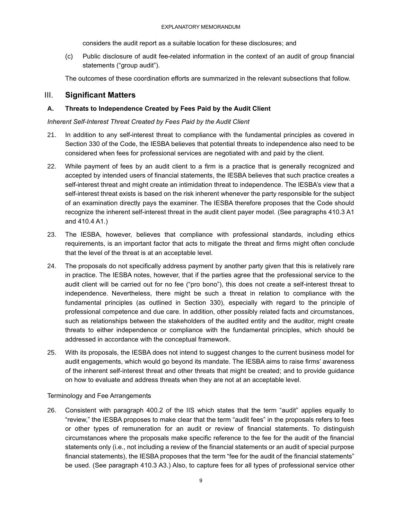considers the audit report as a suitable location for these disclosures; and

(c) Public disclosure of audit fee-related information in the context of an audit of group financial statements ("group audit").

The outcomes of these coordination efforts are summarized in the relevant subsections that follow.

## <span id="page-8-0"></span>III. **Significant Matters**

## <span id="page-8-1"></span>**A. Threats to Independence Created by Fees Paid by the Audit Client**

*Inherent Self-Interest Threat Created by Fees Paid by the Audit Client*

- 21. In addition to any self-interest threat to compliance with the fundamental principles as covered in Section 330 of the Code, the IESBA believes that potential threats to independence also need to be considered when fees for professional services are negotiated with and paid by the client.
- 22. While payment of fees by an audit client to a firm is a practice that is generally recognized and accepted by intended users of financial statements, the IESBA believes that such practice creates a self-interest threat and might create an intimidation threat to independence. The IESBA's view that a self-interest threat exists is based on the risk inherent whenever the party responsible for the subject of an examination directly pays the examiner. The IESBA therefore proposes that the Code should recognize the inherent self-interest threat in the audit client payer model. (See paragraphs 410.3 A1 and 410.4 A1.)
- 23. The IESBA, however, believes that compliance with professional standards, including ethics requirements, is an important factor that acts to mitigate the threat and firms might often conclude that the level of the threat is at an acceptable level.
- 24. The proposals do not specifically address payment by another party given that this is relatively rare in practice. The IESBA notes, however, that if the parties agree that the professional service to the audit client will be carried out for no fee ("pro bono"), this does not create a self-interest threat to independence. Nevertheless, there might be such a threat in relation to compliance with the fundamental principles (as outlined in Section 330), especially with regard to the principle of professional competence and due care. In addition, other possibly related facts and circumstances, such as relationships between the stakeholders of the audited entity and the auditor, might create threats to either independence or compliance with the fundamental principles, which should be addressed in accordance with the conceptual framework.
- 25. With its proposals, the IESBA does not intend to suggest changes to the current business model for audit engagements, which would go beyond its mandate. The IESBA aims to raise firms' awareness of the inherent self-interest threat and other threats that might be created; and to provide guidance on how to evaluate and address threats when they are not at an acceptable level.

### Terminology and Fee Arrangements

26. Consistent with paragraph 400.2 of the IIS which states that the term "audit" applies equally to "review," the IESBA proposes to make clear that the term "audit fees" in the proposals refers to fees or other types of remuneration for an audit or review of financial statements. To distinguish circumstances where the proposals make specific reference to the fee for the audit of the financial statements only (i.e., not including a review of the financial statements or an audit of special purpose financial statements), the IESBA proposes that the term "fee for the audit of the financial statements" be used. (See paragraph 410.3 A3.) Also, to capture fees for all types of professional service other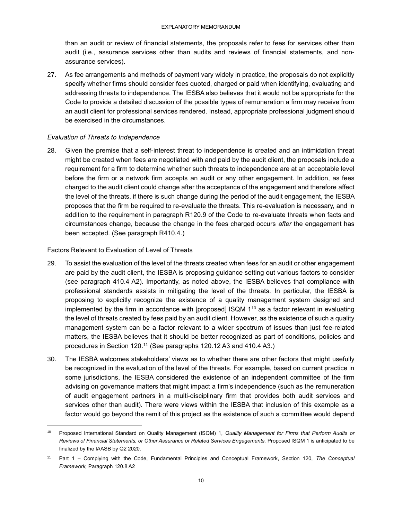than an audit or review of financial statements, the proposals refer to fees for services other than audit (i.e., assurance services other than audits and reviews of financial statements, and nonassurance services).

27. As fee arrangements and methods of payment vary widely in practice, the proposals do not explicitly specify whether firms should consider fees quoted, charged or paid when identifying, evaluating and addressing threats to independence. The IESBA also believes that it would not be appropriate for the Code to provide a detailed discussion of the possible types of remuneration a firm may receive from an audit client for professional services rendered. Instead, appropriate professional judgment should be exercised in the circumstances.

#### *Evaluation of Threats to Independence*

28. Given the premise that a self-interest threat to independence is created and an intimidation threat might be created when fees are negotiated with and paid by the audit client, the proposals include a requirement for a firm to determine whether such threats to independence are at an acceptable level before the firm or a network firm accepts an audit or any other engagement. In addition, as fees charged to the audit client could change after the acceptance of the engagement and therefore affect the level of the threats, if there is such change during the period of the audit engagement, the IESBA proposes that the firm be required to re-evaluate the threats. This re-evaluation is necessary, and in addition to the requirement in paragraph R120.9 of the Code to re-evaluate threats when facts and circumstances change, because the change in the fees charged occurs *after* the engagement has been accepted. (See paragraph R410.4.)

Factors Relevant to Evaluation of Level of Threats

- 29. To assist the evaluation of the level of the threats created when fees for an audit or other engagement are paid by the audit client, the IESBA is proposing guidance setting out various factors to consider (see paragraph 410.4 A2). Importantly, as noted above, the IESBA believes that compliance with professional standards assists in mitigating the level of the threats. In particular, the IESBA is proposing to explicitly recognize the existence of a quality management system designed and implemented by the firm in accordance with [proposed]  $ISQM$  1<sup>10</sup> as a factor relevant in evaluating the level of threats created by fees paid by an audit client. However, as the existence of such a quality management system can be a factor relevant to a wider spectrum of issues than just fee-related matters, the IESBA believes that it should be better recognized as part of conditions, policies and procedures in Section 120.<sup>11</sup> (See paragraphs 120.12 A3 and 410.4 A3.)
- 30. The IESBA welcomes stakeholders' views as to whether there are other factors that might usefully be recognized in the evaluation of the level of the threats. For example, based on current practice in some jurisdictions, the IESBA considered the existence of an independent committee of the firm advising on governance matters that might impact a firm's independence (such as the remuneration of audit engagement partners in a multi-disciplinary firm that provides both audit services and services other than audit). There were views within the IESBA that inclusion of this example as a factor would go beyond the remit of this project as the existence of such a committee would depend

<sup>10</sup> Proposed International Standard on Quality Management (ISQM) 1, *Quality Management for Firms that Perform Audits or Reviews of Financial Statements, or Other Assurance or Related Services Engagements.* Proposed ISQM 1 is anticipated to be finalized by the IAASB by Q2 2020.

<sup>11</sup> Part 1 – Complying with the Code, Fundamental Principles and Conceptual Framework, Section 120, *The Conceptual Framework,* Paragraph 120.8 A2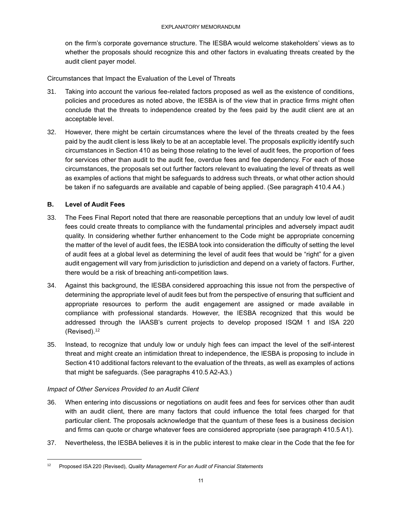on the firm's corporate governance structure. The IESBA would welcome stakeholders' views as to whether the proposals should recognize this and other factors in evaluating threats created by the audit client payer model.

Circumstances that Impact the Evaluation of the Level of Threats

- 31. Taking into account the various fee-related factors proposed as well as the existence of conditions, policies and procedures as noted above, the IESBA is of the view that in practice firms might often conclude that the threats to independence created by the fees paid by the audit client are at an acceptable level.
- 32. However, there might be certain circumstances where the level of the threats created by the fees paid by the audit client is less likely to be at an acceptable level. The proposals explicitly identify such circumstances in Section 410 as being those relating to the level of audit fees, the proportion of fees for services other than audit to the audit fee, overdue fees and fee dependency. For each of those circumstances, the proposals set out further factors relevant to evaluating the level of threats as well as examples of actions that might be safeguards to address such threats, or what other action should be taken if no safeguards are available and capable of being applied. (See paragraph 410.4 A4.)

### <span id="page-10-0"></span>**B. Level of Audit Fees**

- 33. The Fees Final Report noted that there are reasonable perceptions that an unduly low level of audit fees could create threats to compliance with the fundamental principles and adversely impact audit quality. In considering whether further enhancement to the Code might be appropriate concerning the matter of the level of audit fees, the IESBA took into consideration the difficulty of setting the level of audit fees at a global level as determining the level of audit fees that would be "right" for a given audit engagement will vary from jurisdiction to jurisdiction and depend on a variety of factors. Further, there would be a risk of breaching anti-competition laws.
- 34. Against this background, the IESBA considered approaching this issue not from the perspective of determining the appropriate level of audit fees but from the perspective of ensuring that sufficient and appropriate resources to perform the audit engagement are assigned or made available in compliance with professional standards. However, the IESBA recognized that this would be addressed through the IAASB's current projects to develop proposed ISQM 1 and ISA 220 (Revised). 12
- 35. Instead, to recognize that unduly low or unduly high fees can impact the level of the self-interest threat and might create an intimidation threat to independence, the IESBA is proposing to include in Section 410 additional factors relevant to the evaluation of the threats, as well as examples of actions that might be safeguards. (See paragraphs 410.5 A2-A3.)

### *Impact of Other Services Provided to an Audit Client*

- 36. When entering into discussions or negotiations on audit fees and fees for services other than audit with an audit client, there are many factors that could influence the total fees charged for that particular client. The proposals acknowledge that the quantum of these fees is a business decision and firms can quote or charge whatever fees are considered appropriate (see paragraph 410.5 A1).
- 37. Nevertheless, the IESBA believes it is in the public interest to make clear in the Code that the fee for

<sup>12</sup> Proposed ISA 220 (Revised), *Quality Management For an Audit of Financial Statements*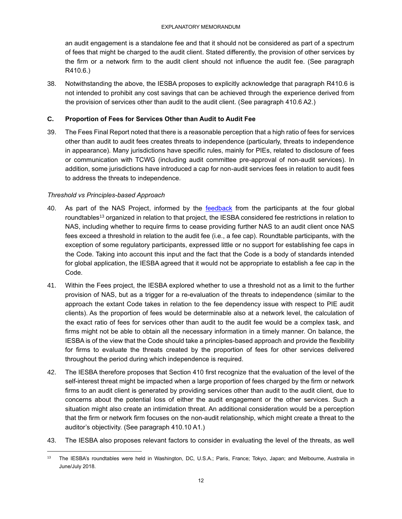an audit engagement is a standalone fee and that it should not be considered as part of a spectrum of fees that might be charged to the audit client. Stated differently, the provision of other services by the firm or a network firm to the audit client should not influence the audit fee. (See paragraph R410.6.)

38. Notwithstanding the above, the IESBA proposes to explicitly acknowledge that paragraph R410.6 is not intended to prohibit any cost savings that can be achieved through the experience derived from the provision of services other than audit to the audit client. (See paragraph 410.6 A2.)

## <span id="page-11-0"></span>**C. Proportion of Fees for Services Other than Audit to Audit Fee**

39. The Fees Final Report noted that there is a reasonable perception that a high ratio of fees for services other than audit to audit fees creates threats to independence (particularly, threats to independence in appearance). Many jurisdictions have specific rules, mainly for PIEs, related to disclosure of fees or communication with TCWG (including audit committee pre-approval of non-audit services). In addition, some jurisdictions have introduced a cap for non-audit services fees in relation to audit fees to address the threats to independence.

## *Threshold vs Principles-based Approach*

- 40. As part of the NAS Project, informed by the [feedback](http://www.ethicsboard.org/system/files/meetings/files/Agenda-Item-9A-NAS-Summary-of-Significant-Matters-from-RT-WG-Assessments-and-Proposals.pdf) from the participants at the [four global](https://www.ethicsboard.org/roundtables-2018)  [roundtables](https://www.ethicsboard.org/roundtables-2018)<sup>13</sup> organized in relation to that project, the IESBA considered fee restrictions in relation to NAS, including whether to require firms to cease providing further NAS to an audit client once NAS fees exceed a threshold in relation to the audit fee (i.e., a fee cap). Roundtable participants, with the exception of some regulatory participants, expressed little or no support for establishing fee caps in the Code. Taking into account this input and the fact that the Code is a body of standards intended for global application, the IESBA agreed that it would not be appropriate to establish a fee cap in the Code.
- 41. Within the Fees project, the IESBA explored whether to use a threshold not as a limit to the further provision of NAS, but as a trigger for a re-evaluation of the threats to independence (similar to the approach the extant Code takes in relation to the fee dependency issue with respect to PIE audit clients). As the proportion of fees would be determinable also at a network level, the calculation of the exact ratio of fees for services other than audit to the audit fee would be a complex task, and firms might not be able to obtain all the necessary information in a timely manner. On balance, the IESBA is of the view that the Code should take a principles-based approach and provide the flexibility for firms to evaluate the threats created by the proportion of fees for other services delivered throughout the period during which independence is required.
- 42. The IESBA therefore proposes that Section 410 first recognize that the evaluation of the level of the self-interest threat might be impacted when a large proportion of fees charged by the firm or network firms to an audit client is generated by providing services other than audit to the audit client, due to concerns about the potential loss of either the audit engagement or the other services. Such a situation might also create an intimidation threat. An additional consideration would be a perception that the firm or network firm focuses on the non-audit relationship, which might create a threat to the auditor's objectivity. (See paragraph 410.10 A1.)
- 43. The IESBA also proposes relevant factors to consider in evaluating the level of the threats, as well

<sup>&</sup>lt;sup>13</sup> The IESBA's roundtables were held in Washington, DC, U.S.A.; Paris, France; Tokyo, Japan; and Melbourne, Australia in June/July 2018.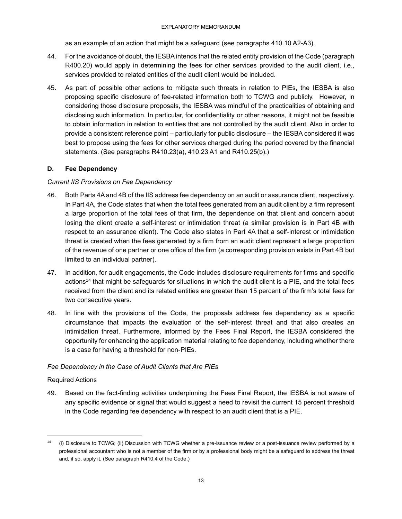as an example of an action that might be a safeguard (see paragraphs 410.10 A2-A3).

- 44. For the avoidance of doubt, the IESBA intends that the related entity provision of the Code (paragraph R400.20) would apply in determining the fees for other services provided to the audit client, i.e., services provided to related entities of the audit client would be included.
- 45. As part of possible other actions to mitigate such threats in relation to PIEs, the IESBA is also proposing specific disclosure of fee-related information both to TCWG and publicly. However, in considering those disclosure proposals, the IESBA was mindful of the practicalities of obtaining and disclosing such information. In particular, for confidentiality or other reasons, it might not be feasible to obtain information in relation to entities that are not controlled by the audit client. Also in order to provide a consistent reference point – particularly for public disclosure – the IESBA considered it was best to propose using the fees for other services charged during the period covered by the financial statements. (See paragraphs R410.23(a), 410.23 A1 and R410.25(b).)

## <span id="page-12-0"></span>**D. Fee Dependency**

### *Current IIS Provisions on Fee Dependency*

- 46. Both Parts 4A and 4B of the IIS address fee dependency on an audit or assurance client, respectively. In Part 4A, the Code states that when the total fees generated from an audit client by a firm represent a large proportion of the total fees of that firm, the dependence on that client and concern about losing the client create a self-interest or intimidation threat (a similar provision is in Part 4B with respect to an assurance client). The Code also states in Part 4A that a self-interest or intimidation threat is created when the fees generated by a firm from an audit client represent a large proportion of the revenue of one partner or one office of the firm (a corresponding provision exists in Part 4B but limited to an individual partner).
- 47. In addition, for audit engagements, the Code includes disclosure requirements for firms and specific actions<sup>14</sup> that might be safeguards for situations in which the audit client is a PIE, and the total fees received from the client and its related entities are greater than 15 percent of the firm's total fees for two consecutive years.
- 48. In line with the provisions of the Code, the proposals address fee dependency as a specific circumstance that impacts the evaluation of the self-interest threat and that also creates an intimidation threat. Furthermore, informed by the Fees Final Report, the IESBA considered the opportunity for enhancing the application material relating to fee dependency, including whether there is a case for having a threshold for non-PIEs.

## *Fee Dependency in the Case of Audit Clients that Are PIEs*

### Required Actions

49. Based on the fact-finding activities underpinning the Fees Final Report, the IESBA is not aware of any specific evidence or signal that would suggest a need to revisit the current 15 percent threshold in the Code regarding fee dependency with respect to an audit client that is a PIE.

<sup>14</sup> (i) Disclosure to TCWG; (ii) Discussion with TCWG whether a pre-issuance review or a post-issuance review performed by a professional accountant who is not a member of the firm or by a professional body might be a safeguard to address the threat and, if so, apply it. (See paragraph R410.4 of the Code.)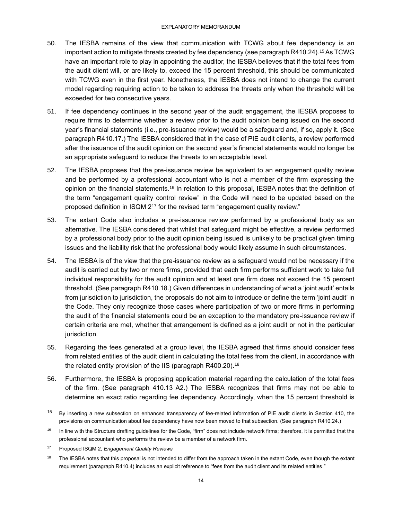- 50. The IESBA remains of the view that communication with TCWG about fee dependency is an important action to mitigate threats created by fee dependency (see paragraph R410.24). $^{15}$  As TCWG  $\,$ have an important role to play in appointing the auditor, the IESBA believes that if the total fees from the audit client will, or are likely to, exceed the 15 percent threshold, this should be communicated with TCWG even in the first year. Nonetheless, the IESBA does not intend to change the current model regarding requiring action to be taken to address the threats only when the threshold will be exceeded for two consecutive years.
- 51. If fee dependency continues in the second year of the audit engagement, the IESBA proposes to require firms to determine whether a review prior to the audit opinion being issued on the second year's financial statements (i.e., pre-issuance review) would be a safeguard and, if so, apply it. (See paragraph R410.17.) The IESBA considered that in the case of PIE audit clients, a review performed after the issuance of the audit opinion on the second year's financial statements would no longer be an appropriate safeguard to reduce the threats to an acceptable level.
- 52. The IESBA proposes that the pre-issuance review be equivalent to an engagement quality review and be performed by a professional accountant who is not a member of the firm expressing the opinion on the financial statements.<sup>16</sup> In relation to this proposal, IESBA notes that the definition of the term "engagement quality control review" in the Code will need to be updated based on the proposed definition in ISQM 2<sup>17</sup> for the revised term "engagement quality review."
- 53. The extant Code also includes a pre-issuance review performed by a professional body as an alternative. The IESBA considered that whilst that safeguard might be effective, a review performed by a professional body prior to the audit opinion being issued is unlikely to be practical given timing issues and the liability risk that the professional body would likely assume in such circumstances.
- 54. The IESBA is of the view that the pre-issuance review as a safeguard would not be necessary if the audit is carried out by two or more firms, provided that each firm performs sufficient work to take full individual responsibility for the audit opinion and at least one firm does not exceed the 15 percent threshold. (See paragraph R410.18.) Given differences in understanding of what a 'joint audit' entails from jurisdiction to jurisdiction, the proposals do not aim to introduce or define the term 'joint audit' in the Code. They only recognize those cases where participation of two or more firms in performing the audit of the financial statements could be an exception to the mandatory pre-issuance review if certain criteria are met, whether that arrangement is defined as a joint audit or not in the particular jurisdiction.
- 55. Regarding the fees generated at a group level, the IESBA agreed that firms should consider fees from related entities of the audit client in calculating the total fees from the client, in accordance with the related entity provision of the IIS (paragraph R400.20).<sup>18</sup>
- 56. Furthermore, the IESBA is proposing application material regarding the calculation of the total fees of the firm. (See paragraph 410.13 A2.) The IESBA recognizes that firms may not be able to determine an exact ratio regarding fee dependency. Accordingly, when the 15 percent threshold is

<sup>&</sup>lt;sup>15</sup> By inserting a new subsection on enhanced transparency of fee-related information of PIE audit clients in Section 410, the provisions on communication about fee dependency have now been moved to that subsection. (See paragraph R410.24.)

<sup>&</sup>lt;sup>16</sup> In line with the Structure drafting guidelines for the Code, "firm" does not include network firms; therefore, it is permitted that the professional accountant who performs the review be a member of a network firm.

<sup>17</sup> Proposed ISQM 2, *Engagement Quality Reviews*

<sup>&</sup>lt;sup>18</sup> The IESBA notes that this proposal is not intended to differ from the approach taken in the extant Code, even though the extant requirement (paragraph R410.4) includes an explicit reference to "fees from the audit client and its related entities."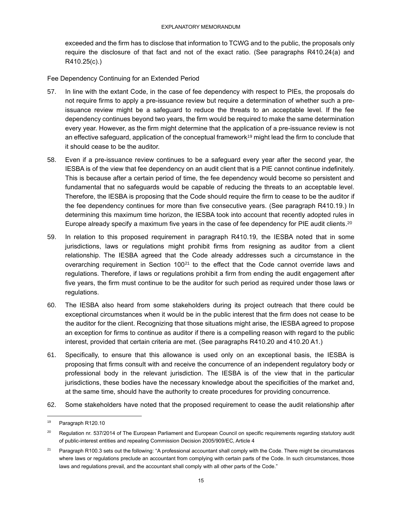exceeded and the firm has to disclose that information to TCWG and to the public, the proposals only require the disclosure of that fact and not of the exact ratio. (See paragraphs R410.24(a) and R410.25(c).)

Fee Dependency Continuing for an Extended Period

- 57. In line with the extant Code, in the case of fee dependency with respect to PIEs, the proposals do not require firms to apply a pre-issuance review but require a determination of whether such a preissuance review might be a safeguard to reduce the threats to an acceptable level. If the fee dependency continues beyond two years, the firm would be required to make the same determination every year. However, as the firm might determine that the application of a pre-issuance review is not an effective safeguard, application of the conceptual framework<sup>19</sup> might lead the firm to conclude that it should cease to be the auditor.
- 58. Even if a pre-issuance review continues to be a safeguard every year after the second year, the IESBA is of the view that fee dependency on an audit client that is a PIE cannot continue indefinitely. This is because after a certain period of time, the fee dependency would become so persistent and fundamental that no safeguards would be capable of reducing the threats to an acceptable level. Therefore, the IESBA is proposing that the Code should require the firm to cease to be the auditor if the fee dependency continues for more than five consecutive years. (See paragraph R410.19.) In determining this maximum time horizon, the IESBA took into account that recently adopted rules in Europe already specify a maximum five years in the case of fee dependency for PIE audit clients. $^{20}$
- 59. In relation to this proposed requirement in paragraph R410.19, the IESBA noted that in some jurisdictions, laws or regulations might prohibit firms from resigning as auditor from a client relationship. The IESBA agreed that the Code already addresses such a circumstance in the overarching requirement in Section  $100<sup>21</sup>$  to the effect that the Code cannot override laws and regulations. Therefore, if laws or regulations prohibit a firm from ending the audit engagement after five years, the firm must continue to be the auditor for such period as required under those laws or regulations.
- 60. The IESBA also heard from some stakeholders during its project outreach that there could be exceptional circumstances when it would be in the public interest that the firm does not cease to be the auditor for the client. Recognizing that those situations might arise, the IESBA agreed to propose an exception for firms to continue as auditor if there is a compelling reason with regard to the public interest, provided that certain criteria are met. (See paragraphs R410.20 and 410.20 A1.)
- 61. Specifically, to ensure that this allowance is used only on an exceptional basis, the IESBA is proposing that firms consult with and receive the concurrence of an independent regulatory body or professional body in the relevant jurisdiction. The IESBA is of the view that in the particular jurisdictions, these bodies have the necessary knowledge about the specificities of the market and, at the same time, should have the authority to create procedures for providing concurrence.
- 62. Some stakeholders have noted that the proposed requirement to cease the audit relationship after

<sup>19</sup> Paragraph R120.10

<sup>&</sup>lt;sup>20</sup> Regulation nr. 537/2014 of The European Parliament and European Council on specific requirements regarding statutory audit of public-interest entities and repealing Commission Decision 2005/909/EC, Article 4

<sup>&</sup>lt;sup>21</sup> Paragraph R100.3 sets out the following: "A professional accountant shall comply with the Code. There might be circumstances where laws or regulations preclude an accountant from complying with certain parts of the Code. In such circumstances, those laws and regulations prevail, and the accountant shall comply with all other parts of the Code."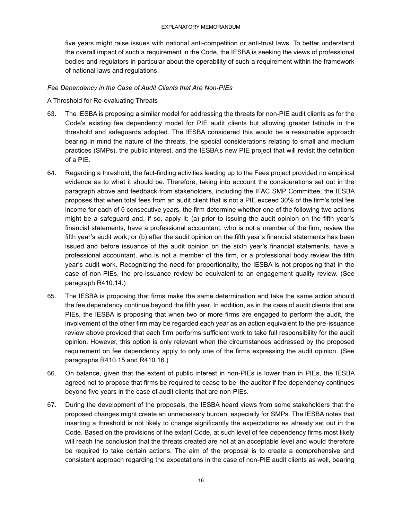five years might raise issues with national anti-competition or anti-trust laws. To better understand the overall impact of such a requirement in the Code, the IESBA is seeking the views of professional bodies and regulators in particular about the operability of such a requirement within the framework of national laws and regulations.

#### *Fee Dependency in the Case of Audit Clients that Are Non-PIEs*

A Threshold for Re-evaluating Threats

- 63. The IESBA is proposing a similar model for addressing the threats for non-PIE audit clients as for the Code's existing fee dependency model for PIE audit clients but allowing greater latitude in the threshold and safeguards adopted. The IESBA considered this would be a reasonable approach bearing in mind the nature of the threats, the special considerations relating to small and medium practices (SMPs), the public interest, and the IESBA's new PIE project that will revisit the definition of a PIE.
- 64. Regarding a threshold, the fact-finding activities leading up to the Fees project provided no empirical evidence as to what it should be. Therefore, taking into account the considerations set out in the paragraph above and feedback from stakeholders, including the IFAC SMP Committee, the IESBA proposes that when total fees from an audit client that is not a PIE exceed 30% of the firm's total fee income for each of 5 consecutive years, the firm determine whether one of the following two actions might be a safeguard and, if so, apply it: (a) prior to issuing the audit opinion on the fifth year's financial statements, have a professional accountant, who is not a member of the firm, review the fifth year's audit work; or (b) after the audit opinion on the fifth year's financial statements has been issued and before issuance of the audit opinion on the sixth year's financial statements, have a professional accountant, who is not a member of the firm, or a professional body review the fifth year's audit work. Recognizing the need for proportionality, the IESBA is not proposing that in the case of non-PIEs, the pre-issuance review be equivalent to an engagement quality review. (See paragraph R410.14.)
- 65. The IESBA is proposing that firms make the same determination and take the same action should the fee dependency continue beyond the fifth year. In addition, as in the case of audit clients that are PIEs, the IESBA is proposing that when two or more firms are engaged to perform the audit, the involvement of the other firm may be regarded each year as an action equivalent to the pre-issuance review above provided that each firm performs sufficient work to take full responsibility for the audit opinion. However, this option is only relevant when the circumstances addressed by the proposed requirement on fee dependency apply to only one of the firms expressing the audit opinion. (See paragraphs R410.15 and R410.16.)
- 66. On balance, given that the extent of public interest in non-PIEs is lower than in PIEs, the IESBA agreed not to propose that firms be required to cease to be the auditor if fee dependency continues beyond five years in the case of audit clients that are non-PIEs.
- 67. During the development of the proposals, the IESBA heard views from some stakeholders that the proposed changes might create an unnecessary burden, especially for SMPs. The IESBA notes that inserting a threshold is not likely to change significantly the expectations as already set out in the Code. Based on the provisions of the extant Code, at such level of fee dependency firms most likely will reach the conclusion that the threats created are not at an acceptable level and would therefore be required to take certain actions. The aim of the proposal is to create a comprehensive and consistent approach regarding the expectations in the case of non-PIE audit clients as well, bearing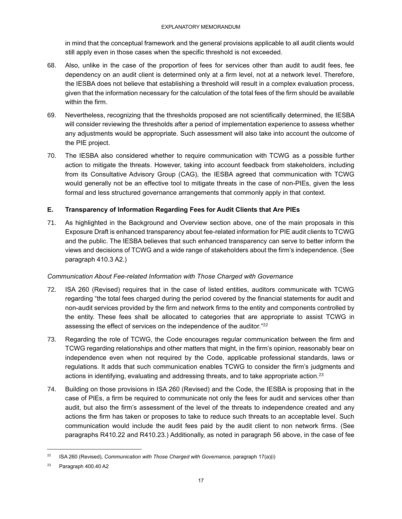in mind that the conceptual framework and the general provisions applicable to all audit clients would still apply even in those cases when the specific threshold is not exceeded.

- 68. Also, unlike in the case of the proportion of fees for services other than audit to audit fees, fee dependency on an audit client is determined only at a firm level, not at a network level. Therefore, the IESBA does not believe that establishing a threshold will result in a complex evaluation process, given that the information necessary for the calculation of the total fees of the firm should be available within the firm.
- 69. Nevertheless, recognizing that the thresholds proposed are not scientifically determined, the IESBA will consider reviewing the thresholds after a period of implementation experience to assess whether any adjustments would be appropriate. Such assessment will also take into account the outcome of the PIE project.
- 70. The IESBA also considered whether to require communication with TCWG as a possible further action to mitigate the threats. However, taking into account feedback from stakeholders, including from its Consultative Advisory Group (CAG), the IESBA agreed that communication with TCWG would generally not be an effective tool to mitigate threats in the case of non-PIEs, given the less formal and less structured governance arrangements that commonly apply in that context.

## <span id="page-16-0"></span>**E. Transparency of Information Regarding Fees for Audit Clients that Are PIEs**

71. As highlighted in the Background and Overview section above, one of the main proposals in this Exposure Draft is enhanced transparency about fee-related information for PIE audit clients to TCWG and the public. The IESBA believes that such enhanced transparency can serve to better inform the views and decisions of TCWG and a wide range of stakeholders about the firm's independence. (See paragraph 410.3 A2.)

## *Communication About Fee-related Information with Those Charged with Governance*

- 72. ISA 260 (Revised) requires that in the case of listed entities, auditors communicate with TCWG regarding "the total fees charged during the period covered by the financial statements for audit and non-audit services provided by the firm and network firms to the entity and components controlled by the entity. These fees shall be allocated to categories that are appropriate to assist TCWG in assessing the effect of services on the independence of the auditor."<sup>22</sup>
- 73. Regarding the role of TCWG, the Code encourages regular communication between the firm and TCWG regarding relationships and other matters that might, in the firm's opinion, reasonably bear on independence even when not required by the Code, applicable professional standards, laws or regulations. It adds that such communication enables TCWG to consider the firm's judgments and actions in identifying, evaluating and addressing threats, and to take appropriate action.<sup>23</sup>
- 74. Building on those provisions in ISA 260 (Revised) and the Code, the IESBA is proposing that in the case of PIEs, a firm be required to communicate not only the fees for audit and services other than audit, but also the firm's assessment of the level of the threats to independence created and any actions the firm has taken or proposes to take to reduce such threats to an acceptable level. Such communication would include the audit fees paid by the audit client to non network firms. (See paragraphs R410.22 and R410.23.) Additionally, as noted in paragraph 56 above, in the case of fee

<sup>22</sup> ISA 260 (Revised), *Communication with Those Charged with Governance*, paragraph 17(a)(i)

 $23$  Paragraph 400.40 A2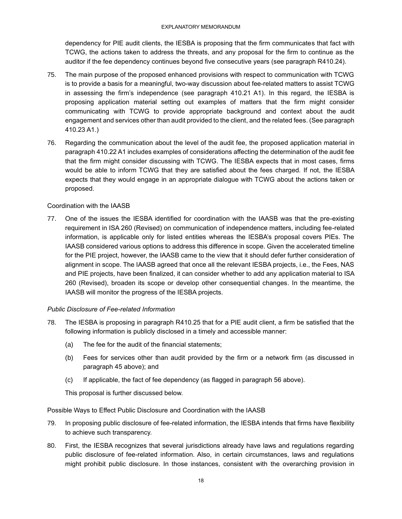dependency for PIE audit clients, the IESBA is proposing that the firm communicates that fact with TCWG, the actions taken to address the threats, and any proposal for the firm to continue as the auditor if the fee dependency continues beyond five consecutive years (see paragraph R410.24).

- 75. The main purpose of the proposed enhanced provisions with respect to communication with TCWG is to provide a basis for a meaningful, two-way discussion about fee-related matters to assist TCWG in assessing the firm's independence (see paragraph 410.21 A1). In this regard, the IESBA is proposing application material setting out examples of matters that the firm might consider communicating with TCWG to provide appropriate background and context about the audit engagement and services other than audit provided to the client, and the related fees. (See paragraph 410.23 A1.)
- 76. Regarding the communication about the level of the audit fee, the proposed application material in paragraph 410.22 A1 includes examples of considerations affecting the determination of the audit fee that the firm might consider discussing with TCWG. The IESBA expects that in most cases, firms would be able to inform TCWG that they are satisfied about the fees charged. If not, the IESBA expects that they would engage in an appropriate dialogue with TCWG about the actions taken or proposed.

## Coordination with the IAASB

77. One of the issues the IESBA identified for coordination with the IAASB was that the pre-existing requirement in ISA 260 (Revised) on communication of independence matters, including fee-related information, is applicable only for listed entities whereas the IESBA's proposal covers PIEs. The IAASB considered various options to address this difference in scope. Given the accelerated timeline for the PIE project, however, the IAASB came to the view that it should defer further consideration of alignment in scope. The IAASB agreed that once all the relevant IESBA projects, i.e., the Fees, NAS and PIE projects, have been finalized, it can consider whether to add any application material to ISA 260 (Revised), broaden its scope or develop other consequential changes. In the meantime, the IAASB will monitor the progress of the IESBA projects.

### *Public Disclosure of Fee-related Information*

- 78. The IESBA is proposing in paragraph R410.25 that for a PIE audit client, a firm be satisfied that the following information is publicly disclosed in a timely and accessible manner:
	- (a) The fee for the audit of the financial statements;
	- (b) Fees for services other than audit provided by the firm or a network firm (as discussed in paragraph 45 above); and
	- (c) If applicable, the fact of fee dependency (as flagged in paragraph 56 above).

This proposal is further discussed below.

Possible Ways to Effect Public Disclosure and Coordination with the IAASB

- 79. In proposing public disclosure of fee-related information, the IESBA intends that firms have flexibility to achieve such transparency.
- 80. First, the IESBA recognizes that several jurisdictions already have laws and regulations regarding public disclosure of fee-related information. Also, in certain circumstances, laws and regulations might prohibit public disclosure. In those instances, consistent with the overarching provision in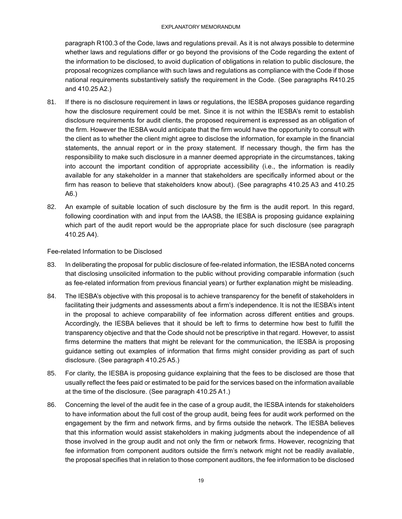paragraph R100.3 of the Code, laws and regulations prevail. As it is not always possible to determine whether laws and regulations differ or go beyond the provisions of the Code regarding the extent of the information to be disclosed, to avoid duplication of obligations in relation to public disclosure, the proposal recognizes compliance with such laws and regulations as compliance with the Code if those national requirements substantively satisfy the requirement in the Code. (See paragraphs R410.25 and 410.25 A2.)

- 81. If there is no disclosure requirement in laws or regulations, the IESBA proposes guidance regarding how the disclosure requirement could be met. Since it is not within the IESBA's remit to establish disclosure requirements for audit clients, the proposed requirement is expressed as an obligation of the firm. However the IESBA would anticipate that the firm would have the opportunity to consult with the client as to whether the client might agree to disclose the information, for example in the financial statements, the annual report or in the proxy statement. If necessary though, the firm has the responsibility to make such disclosure in a manner deemed appropriate in the circumstances, taking into account the important condition of appropriate accessibility (i.e., the information is readily available for any stakeholder in a manner that stakeholders are specifically informed about or the firm has reason to believe that stakeholders know about). (See paragraphs 410.25 A3 and 410.25 A6.)
- 82. An example of suitable location of such disclosure by the firm is the audit report. In this regard, following coordination with and input from the IAASB, the IESBA is proposing guidance explaining which part of the audit report would be the appropriate place for such disclosure (see paragraph 410.25 A4).

Fee-related Information to be Disclosed

- 83. In deliberating the proposal for public disclosure of fee-related information, the IESBA noted concerns that disclosing unsolicited information to the public without providing comparable information (such as fee-related information from previous financial years) or further explanation might be misleading.
- 84. The IESBA's objective with this proposal is to achieve transparency for the benefit of stakeholders in facilitating their judgments and assessments about a firm's independence. It is not the IESBA's intent in the proposal to achieve comparability of fee information across different entities and groups. Accordingly, the IESBA believes that it should be left to firms to determine how best to fulfill the transparency objective and that the Code should not be prescriptive in that regard. However, to assist firms determine the matters that might be relevant for the communication, the IESBA is proposing guidance setting out examples of information that firms might consider providing as part of such disclosure. (See paragraph 410.25 A5.)
- 85. For clarity, the IESBA is proposing guidance explaining that the fees to be disclosed are those that usually reflect the fees paid or estimated to be paid for the services based on the information available at the time of the disclosure. (See paragraph 410.25 A1.)
- 86. Concerning the level of the audit fee in the case of a group audit, the IESBA intends for stakeholders to have information about the full cost of the group audit, being fees for audit work performed on the engagement by the firm and network firms, and by firms outside the network. The IESBA believes that this information would assist stakeholders in making judgments about the independence of all those involved in the group audit and not only the firm or network firms. However, recognizing that fee information from component auditors outside the firm's network might not be readily available, the proposal specifies that in relation to those component auditors, the fee information to be disclosed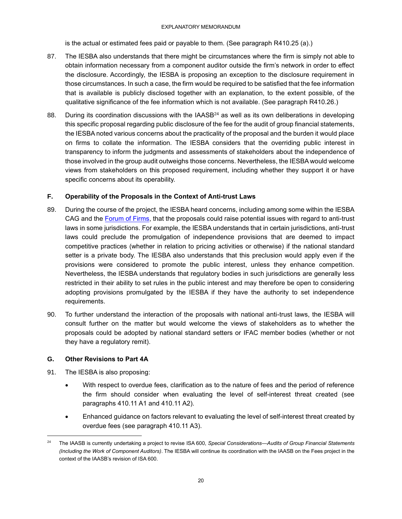is the actual or estimated fees paid or payable to them. (See paragraph R410.25 (a).)

- 87. The IESBA also understands that there might be circumstances where the firm is simply not able to obtain information necessary from a component auditor outside the firm's network in order to effect the disclosure. Accordingly, the IESBA is proposing an exception to the disclosure requirement in those circumstances. In such a case, the firm would be required to be satisfied that the fee information that is available is publicly disclosed together with an explanation, to the extent possible, of the qualitative significance of the fee information which is not available. (See paragraph R410.26.)
- 88. During its coordination discussions with the IAASB<sup>24</sup> as well as its own deliberations in developing this specific proposal regarding public disclosure of the fee for the audit of group financial statements, the IESBA noted various concerns about the practicality of the proposal and the burden it would place on firms to collate the information. The IESBA considers that the overriding public interest in transparency to inform the judgments and assessments of stakeholders about the independence of those involved in the group audit outweighs those concerns. Nevertheless, the IESBA would welcome views from stakeholders on this proposed requirement, including whether they support it or have specific concerns about its operability.

## <span id="page-19-0"></span>**F. Operability of the Proposals in the Context of Anti-trust Laws**

- 89. During the course of the project, the IESBA heard concerns, including among some within the IESBA CAG and the [Forum of Firms,](https://www.ifac.org/who-we-are/committees/transnational-auditors-committee-forum-firms) that the proposals could raise potential issues with regard to anti-trust laws in some jurisdictions. For example, the IESBA understands that in certain jurisdictions, anti-trust laws could preclude the promulgation of independence provisions that are deemed to impact competitive practices (whether in relation to pricing activities or otherwise) if the national standard setter is a private body. The IESBA also understands that this preclusion would apply even if the provisions were considered to promote the public interest, unless they enhance competition. Nevertheless, the IESBA understands that regulatory bodies in such jurisdictions are generally less restricted in their ability to set rules in the public interest and may therefore be open to considering adopting provisions promulgated by the IESBA if they have the authority to set independence requirements.
- 90. To further understand the interaction of the proposals with national anti-trust laws, the IESBA will consult further on the matter but would welcome the views of stakeholders as to whether the proposals could be adopted by national standard setters or IFAC member bodies (whether or not they have a regulatory remit).

## <span id="page-19-1"></span>**G. Other Revisions to Part 4A**

- 91. The IESBA is also proposing:
	- With respect to overdue fees, clarification as to the nature of fees and the period of reference the firm should consider when evaluating the level of self-interest threat created (see paragraphs 410.11 A1 and 410.11 A2).
	- Enhanced guidance on factors relevant to evaluating the level of self-interest threat created by overdue fees (see paragraph 410.11 A3).

<sup>24</sup> The IAASB is currently undertaking a project to revise ISA 600, *Special Considerations—Audits of Group Financial Statements (Including the Work of Component Auditors)*. The IESBA will continue its coordination with the IAASB on the Fees project in the context of the IAASB's revision of ISA 600.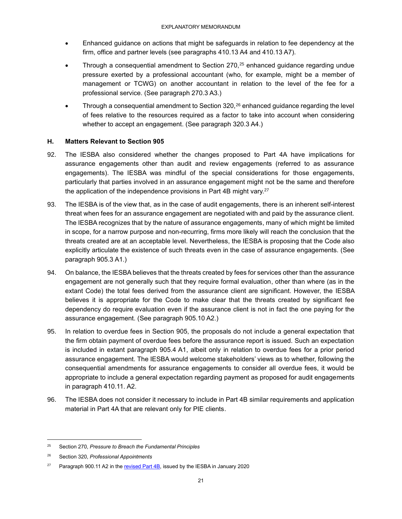- Enhanced guidance on actions that might be safeguards in relation to fee dependency at the firm, office and partner levels (see paragraphs 410.13 A4 and 410.13 A7).
- Through a consequential amendment to Section  $270$ ,<sup>25</sup> enhanced guidance regarding undue pressure exerted by a professional accountant (who, for example, might be a member of management or TCWG) on another accountant in relation to the level of the fee for a professional service. (See paragraph 270.3 A3.)
- Through a consequential amendment to Section  $320$ ,  $26$  enhanced guidance regarding the level of fees relative to the resources required as a factor to take into account when considering whether to accept an engagement. (See paragraph 320.3 A4.)

## <span id="page-20-0"></span>**H. Matters Relevant to Section 905**

- 92. The IESBA also considered whether the changes proposed to Part 4A have implications for assurance engagements other than audit and review engagements (referred to as assurance engagements). The IESBA was mindful of the special considerations for those engagements, particularly that parties involved in an assurance engagement might not be the same and therefore the application of the independence provisions in Part 4B might vary. 27
- 93. The IESBA is of the view that, as in the case of audit engagements, there is an inherent self-interest threat when fees for an assurance engagement are negotiated with and paid by the assurance client. The IESBA recognizes that by the nature of assurance engagements, many of which might be limited in scope, for a narrow purpose and non-recurring, firms more likely will reach the conclusion that the threats created are at an acceptable level. Nevertheless, the IESBA is proposing that the Code also explicitly articulate the existence of such threats even in the case of assurance engagements. (See paragraph 905.3 A1.)
- 94. On balance, the IESBA believes that the threats created by fees for services other than the assurance engagement are not generally such that they require formal evaluation, other than where (as in the extant Code) the total fees derived from the assurance client are significant. However, the IESBA believes it is appropriate for the Code to make clear that the threats created by significant fee dependency do require evaluation even if the assurance client is not in fact the one paying for the assurance engagement. (See paragraph 905.10 A2.)
- 95. In relation to overdue fees in Section 905, the proposals do not include a general expectation that the firm obtain payment of overdue fees before the assurance report is issued. Such an expectation is included in extant paragraph 905.4 A1, albeit only in relation to overdue fees for a prior period assurance engagement. The IESBA would welcome stakeholders' views as to whether, following the consequential amendments for assurance engagements to consider all overdue fees, it would be appropriate to include a general expectation regarding payment as proposed for audit engagements in paragraph 410.11. A2.
- 96. The IESBA does not consider it necessary to include in Part 4B similar requirements and application material in Part 4A that are relevant only for PIE clients.

<sup>25</sup> Section 270, *Pressure to Breach the Fundamental Principles*

<sup>26</sup> Section 320, *Professional Appointments*

<sup>&</sup>lt;sup>27</sup> Paragraph 900.11 A2 in the revised Part  $4B$ , issued by the IESBA in January 2020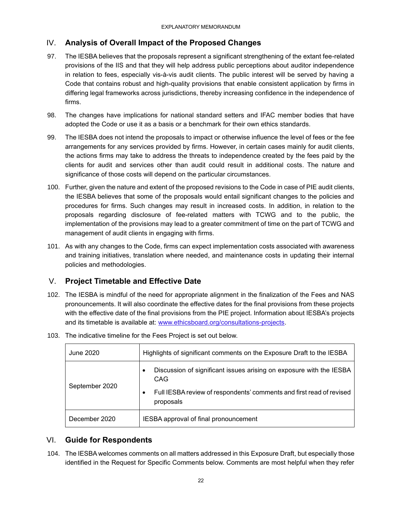## <span id="page-21-0"></span>IV. **Analysis of Overall Impact of the Proposed Changes**

- 97. The IESBA believes that the proposals represent a significant strengthening of the extant fee-related provisions of the IIS and that they will help address public perceptions about auditor independence in relation to fees, especially vis-à-vis audit clients. The public interest will be served by having a Code that contains robust and high-quality provisions that enable consistent application by firms in differing legal frameworks across jurisdictions, thereby increasing confidence in the independence of firms.
- 98. The changes have implications for national standard setters and IFAC member bodies that have adopted the Code or use it as a basis or a benchmark for their own ethics standards.
- 99. The IESBA does not intend the proposals to impact or otherwise influence the level of fees or the fee arrangements for any services provided by firms. However, in certain cases mainly for audit clients, the actions firms may take to address the threats to independence created by the fees paid by the clients for audit and services other than audit could result in additional costs. The nature and significance of those costs will depend on the particular circumstances.
- 100. Further, given the nature and extent of the proposed revisions to the Code in case of PIE audit clients, the IESBA believes that some of the proposals would entail significant changes to the policies and procedures for firms. Such changes may result in increased costs. In addition, in relation to the proposals regarding disclosure of fee-related matters with TCWG and to the public, the implementation of the provisions may lead to a greater commitment of time on the part of TCWG and management of audit clients in engaging with firms.
- 101. As with any changes to the Code, firms can expect implementation costs associated with awareness and training initiatives, translation where needed, and maintenance costs in updating their internal policies and methodologies.

## <span id="page-21-1"></span>V. **Project Timetable and Effective Date**

102. The IESBA is mindful of the need for appropriate alignment in the finalization of the Fees and NAS pronouncements. It will also coordinate the effective dates for the final provisions from these projects with the effective date of the final provisions from the PIE project. Information about IESBA's projects and its timetable is available at: [www.ethicsboard.org/consultations-projects.](http://www.ethicsboard.org/consultations-projects)

| June 2020      | Highlights of significant comments on the Exposure Draft to the IESBA                                                                                                             |
|----------------|-----------------------------------------------------------------------------------------------------------------------------------------------------------------------------------|
| September 2020 | Discussion of significant issues arising on exposure with the IESBA<br>$\bullet$<br>CAG<br>Full IESBA review of respondents' comments and first read of revised<br>٠<br>proposals |
| December 2020  | IESBA approval of final pronouncement                                                                                                                                             |

103. The indicative timeline for the Fees Project is set out below.

## <span id="page-21-2"></span>VI. **Guide for Respondents**

104. The IESBA welcomes comments on all matters addressed in this Exposure Draft, but especially those identified in the Request for Specific Comments below. Comments are most helpful when they refer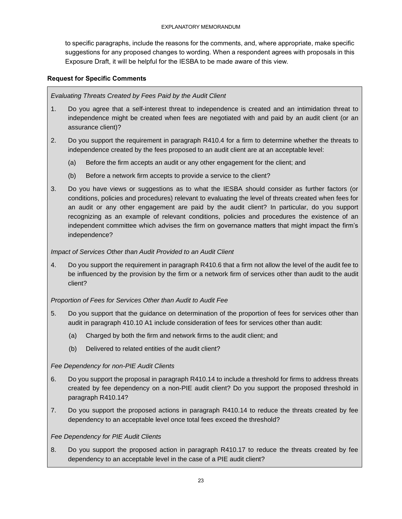to specific paragraphs, include the reasons for the comments, and, where appropriate, make specific suggestions for any proposed changes to wording. When a respondent agrees with proposals in this Exposure Draft, it will be helpful for the IESBA to be made aware of this view.

### **Request for Specific Comments**

*Evaluating Threats Created by Fees Paid by the Audit Client*

- 1. Do you agree that a self-interest threat to independence is created and an intimidation threat to independence might be created when fees are negotiated with and paid by an audit client (or an assurance client)?
- 2. Do you support the requirement in paragraph R410.4 for a firm to determine whether the threats to independence created by the fees proposed to an audit client are at an acceptable level:
	- (a) Before the firm accepts an audit or any other engagement for the client; and
	- (b) Before a network firm accepts to provide a service to the client?
- 3. Do you have views or suggestions as to what the IESBA should consider as further factors (or conditions, policies and procedures) relevant to evaluating the level of threats created when fees for an audit or any other engagement are paid by the audit client? In particular, do you support recognizing as an example of relevant conditions, policies and procedures the existence of an independent committee which advises the firm on governance matters that might impact the firm's independence?

### *Impact of Services Other than Audit Provided to an Audit Client*

4. Do you support the requirement in paragraph R410.6 that a firm not allow the level of the audit fee to be influenced by the provision by the firm or a network firm of services other than audit to the audit client?

### *Proportion of Fees for Services Other than Audit to Audit Fee*

- 5. Do you support that the guidance on determination of the proportion of fees for services other than audit in paragraph 410.10 A1 include consideration of fees for services other than audit:
	- (a) Charged by both the firm and network firms to the audit client; and
	- (b) Delivered to related entities of the audit client?

## *Fee Dependency for non-PIE Audit Clients*

- 6. Do you support the proposal in paragraph R410.14 to include a threshold for firms to address threats created by fee dependency on a non-PIE audit client? Do you support the proposed threshold in paragraph R410.14?
- 7. Do you support the proposed actions in paragraph R410.14 to reduce the threats created by fee dependency to an acceptable level once total fees exceed the threshold?

### *Fee Dependency for PIE Audit Clients*

8. Do you support the proposed action in paragraph R410.17 to reduce the threats created by fee dependency to an acceptable level in the case of a PIE audit client?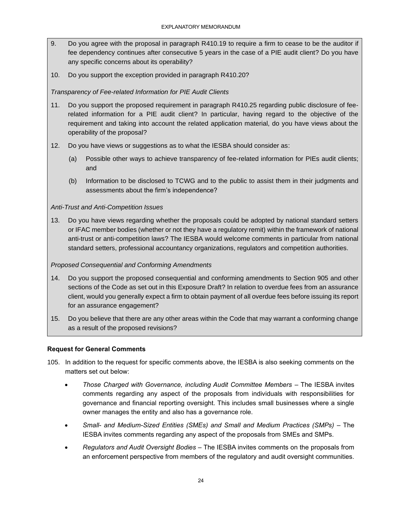- 9. Do you agree with the proposal in paragraph R410.19 to require a firm to cease to be the auditor if fee dependency continues after consecutive 5 years in the case of a PIE audit client? Do you have any specific concerns about its operability?
- 10. Do you support the exception provided in paragraph R410.20?

## *Transparency of Fee-related Information for PIE Audit Clients*

- 11. Do you support the proposed requirement in paragraph R410.25 regarding public disclosure of feerelated information for a PIE audit client? In particular, having regard to the objective of the requirement and taking into account the related application material, do you have views about the operability of the proposal?
- 12. Do you have views or suggestions as to what the IESBA should consider as:
	- (a) Possible other ways to achieve transparency of fee-related information for PIEs audit clients; and
	- (b) Information to be disclosed to TCWG and to the public to assist them in their judgments and assessments about the firm's independence?

## *Anti-Trust and Anti-Competition Issues*

13. Do you have views regarding whether the proposals could be adopted by national standard setters or IFAC member bodies (whether or not they have a regulatory remit) within the framework of national anti-trust or anti-competition laws? The IESBA would welcome comments in particular from national standard setters, professional accountancy organizations, regulators and competition authorities.

## *Proposed Consequential and Conforming Amendments*

- 14. Do you support the proposed consequential and conforming amendments to Section 905 and other sections of the Code as set out in this Exposure Draft? In relation to overdue fees from an assurance client, would you generally expect a firm to obtain payment of all overdue fees before issuing its report for an assurance engagement?
- 15. Do you believe that there are any other areas within the Code that may warrant a conforming change as a result of the proposed revisions?

### **Request for General Comments**

- 105. In addition to the request for specific comments above, the IESBA is also seeking comments on the matters set out below:
	- *Those Charged with Governance, including Audit Committee Members*  The IESBA invites comments regarding any aspect of the proposals from individuals with responsibilities for governance and financial reporting oversight. This includes small businesses where a single owner manages the entity and also has a governance role.
	- *Small- and Medium-Sized Entities (SMEs) and Small and Medium Practices (SMPs) –* The IESBA invites comments regarding any aspect of the proposals from SMEs and SMPs.
	- *Regulators and Audit Oversight Bodies –* The IESBA invites comments on the proposals from an enforcement perspective from members of the regulatory and audit oversight communities.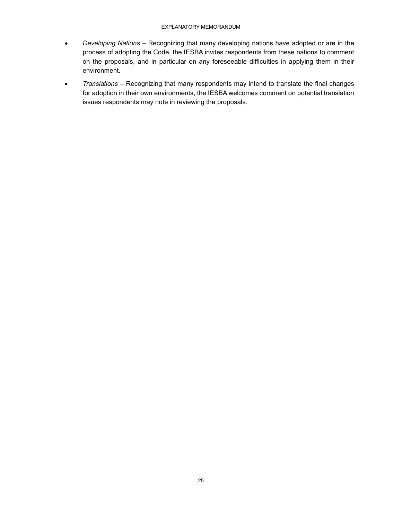#### EXPLANATORY MEMORANDUM

- *Developing Nations –* Recognizing that many developing nations have adopted or are in the process of adopting the Code, the IESBA invites respondents from these nations to comment on the proposals, and in particular on any foreseeable difficulties in applying them in their environment.
- *Translations –* Recognizing that many respondents may intend to translate the final changes for adoption in their own environments, the IESBA welcomes comment on potential translation issues respondents may note in reviewing the proposals.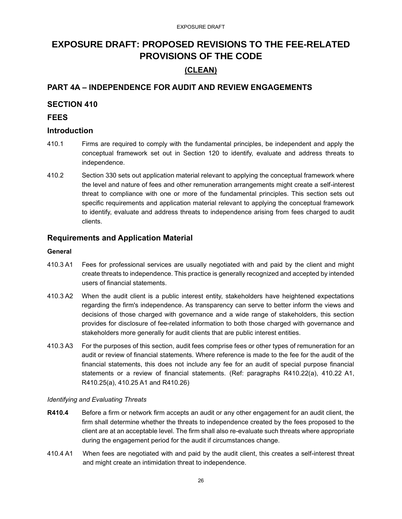## <span id="page-25-0"></span>**EXPOSURE DRAFT: PROPOSED REVISIONS TO THE FEE-RELATED PROVISIONS OF THE CODE**

## **(CLEAN)**

## **PART 4A – INDEPENDENCE FOR AUDIT AND REVIEW ENGAGEMENTS**

## **SECTION 410**

## **FEES**

## **Introduction**

- 410.1 Firms are required to comply with the fundamental principles, be independent and apply the conceptual framework set out in Section 120 to identify, evaluate and address threats to independence.
- 410.2 Section 330 sets out application material relevant to applying the conceptual framework where the level and nature of fees and other remuneration arrangements might create a self-interest threat to compliance with one or more of the fundamental principles. This section sets out specific requirements and application material relevant to applying the conceptual framework to identify, evaluate and address threats to independence arising from fees charged to audit clients.

## **Requirements and Application Material**

#### **General**

- 410.3 A1 Fees for professional services are usually negotiated with and paid by the client and might create threats to independence. This practice is generally recognized and accepted by intended users of financial statements.
- 410.3 A2 When the audit client is a public interest entity, stakeholders have heightened expectations regarding the firm's independence. As transparency can serve to better inform the views and decisions of those charged with governance and a wide range of stakeholders, this section provides for disclosure of fee-related information to both those charged with governance and stakeholders more generally for audit clients that are public interest entities.
- 410.3 A3 For the purposes of this section, audit fees comprise fees or other types of remuneration for an audit or review of financial statements. Where reference is made to the fee for the audit of the financial statements, this does not include any fee for an audit of special purpose financial statements or a review of financial statements. (Ref: paragraphs R410.22(a), 410.22 A1, R410.25(a), 410.25 A1 and R410.26)

#### *Identifying and Evaluating Threats*

- **R410.4** Before a firm or network firm accepts an audit or any other engagement for an audit client, the firm shall determine whether the threats to independence created by the fees proposed to the client are at an acceptable level. The firm shall also re-evaluate such threats where appropriate during the engagement period for the audit if circumstances change.
- 410.4 A1 When fees are negotiated with and paid by the audit client, this creates a self-interest threat and might create an intimidation threat to independence.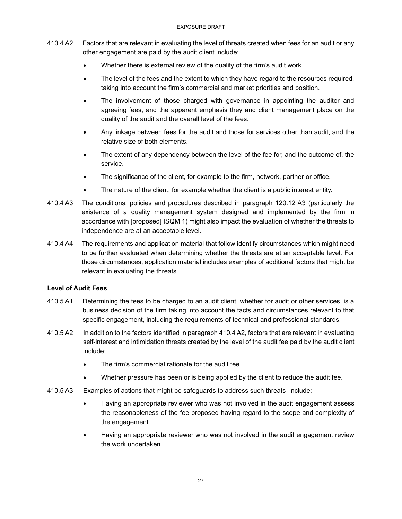- 410.4 A2 Factors that are relevant in evaluating the level of threats created when fees for an audit or any other engagement are paid by the audit client include:
	- Whether there is external review of the quality of the firm's audit work.
	- The level of the fees and the extent to which they have regard to the resources required, taking into account the firm's commercial and market priorities and position.
	- The involvement of those charged with governance in appointing the auditor and agreeing fees, and the apparent emphasis they and client management place on the quality of the audit and the overall level of the fees.
	- Any linkage between fees for the audit and those for services other than audit, and the relative size of both elements.
	- The extent of any dependency between the level of the fee for, and the outcome of, the service.
	- The significance of the client, for example to the firm, network, partner or office.
	- The nature of the client, for example whether the client is a public interest entity.
- 410.4 A3 The conditions, policies and procedures described in paragraph 120.12 A3 (particularly the existence of a quality management system designed and implemented by the firm in accordance with [proposed] ISQM 1) might also impact the evaluation of whether the threats to independence are at an acceptable level.
- 410.4 A4 The requirements and application material that follow identify circumstances which might need to be further evaluated when determining whether the threats are at an acceptable level. For those circumstances, application material includes examples of additional factors that might be relevant in evaluating the threats.

### **Level of Audit Fees**

- 410.5 A1 Determining the fees to be charged to an audit client, whether for audit or other services, is a business decision of the firm taking into account the facts and circumstances relevant to that specific engagement, including the requirements of technical and professional standards.
- 410.5 A2 In addition to the factors identified in paragraph 410.4 A2, factors that are relevant in evaluating self-interest and intimidation threats created by the level of the audit fee paid by the audit client include:
	- The firm's commercial rationale for the audit fee.
	- Whether pressure has been or is being applied by the client to reduce the audit fee.
- 410.5 A3 Examples of actions that might be safeguards to address such threats include:
	- Having an appropriate reviewer who was not involved in the audit engagement assess the reasonableness of the fee proposed having regard to the scope and complexity of the engagement.
	- Having an appropriate reviewer who was not involved in the audit engagement review the work undertaken.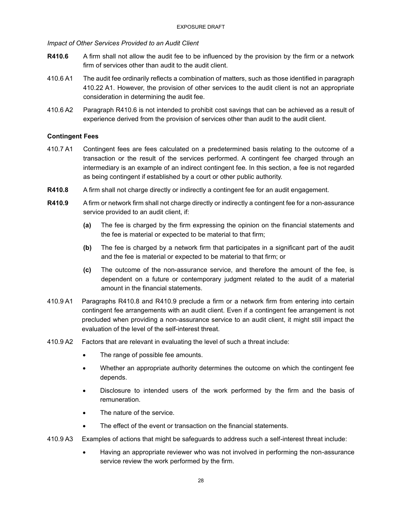*Impact of Other Services Provided to an Audit Client* 

- **R410.6** A firm shall not allow the audit fee to be influenced by the provision by the firm or a network firm of services other than audit to the audit client.
- 410.6 A1 The audit fee ordinarily reflects a combination of matters, such as those identified in paragraph 410.22 A1. However, the provision of other services to the audit client is not an appropriate consideration in determining the audit fee.
- 410.6 A2 Paragraph R410.6 is not intended to prohibit cost savings that can be achieved as a result of experience derived from the provision of services other than audit to the audit client.

#### **Contingent Fees**

- 410.7 A1 Contingent fees are fees calculated on a predetermined basis relating to the outcome of a transaction or the result of the services performed. A contingent fee charged through an intermediary is an example of an indirect contingent fee. In this section, a fee is not regarded as being contingent if established by a court or other public authority.
- **R410.8** A firm shall not charge directly or indirectly a contingent fee for an audit engagement.
- **R410.9** A firm or network firm shall not charge directly or indirectly a contingent fee for a non-assurance service provided to an audit client, if:
	- **(a)** The fee is charged by the firm expressing the opinion on the financial statements and the fee is material or expected to be material to that firm;
	- **(b)** The fee is charged by a network firm that participates in a significant part of the audit and the fee is material or expected to be material to that firm; or
	- **(c)** The outcome of the non-assurance service, and therefore the amount of the fee, is dependent on a future or contemporary judgment related to the audit of a material amount in the financial statements.
- 410.9 A1 Paragraphs R410.8 and R410.9 preclude a firm or a network firm from entering into certain contingent fee arrangements with an audit client. Even if a contingent fee arrangement is not precluded when providing a non-assurance service to an audit client, it might still impact the evaluation of the level of the self-interest threat.
- 410.9 A2 Factors that are relevant in evaluating the level of such a threat include:
	- The range of possible fee amounts.
	- Whether an appropriate authority determines the outcome on which the contingent fee depends.
	- Disclosure to intended users of the work performed by the firm and the basis of remuneration.
	- The nature of the service.
	- The effect of the event or transaction on the financial statements.
- 410.9 A3 Examples of actions that might be safeguards to address such a self-interest threat include:
	- Having an appropriate reviewer who was not involved in performing the non-assurance service review the work performed by the firm.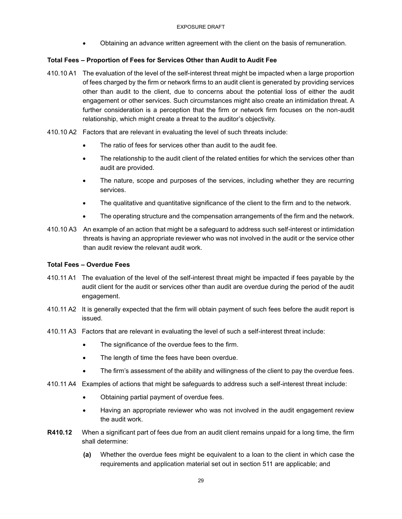• Obtaining an advance written agreement with the client on the basis of remuneration.

### **Total Fees – Proportion of Fees for Services Other than Audit to Audit Fee**

- 410.10 A1 The evaluation of the level of the self-interest threat might be impacted when a large proportion of fees charged by the firm or network firms to an audit client is generated by providing services other than audit to the client, due to concerns about the potential loss of either the audit engagement or other services. Such circumstances might also create an intimidation threat. A further consideration is a perception that the firm or network firm focuses on the non-audit relationship, which might create a threat to the auditor's objectivity.
- 410.10 A2 Factors that are relevant in evaluating the level of such threats include:
	- The ratio of fees for services other than audit to the audit fee.
	- The relationship to the audit client of the related entities for which the services other than audit are provided.
	- The nature, scope and purposes of the services, including whether they are recurring services.
	- The qualitative and quantitative significance of the client to the firm and to the network.
	- The operating structure and the compensation arrangements of the firm and the network.
- 410.10 A3 An example of an action that might be a safeguard to address such self-interest or intimidation threats is having an appropriate reviewer who was not involved in the audit or the service other than audit review the relevant audit work.

#### **Total Fees – Overdue Fees**

- 410.11 A1 The evaluation of the level of the self-interest threat might be impacted if fees payable by the audit client for the audit or services other than audit are overdue during the period of the audit engagement.
- 410.11 A2 It is generally expected that the firm will obtain payment of such fees before the audit report is issued.
- 410.11 A3 Factors that are relevant in evaluating the level of such a self-interest threat include:
	- The significance of the overdue fees to the firm.
	- The length of time the fees have been overdue.
	- The firm's assessment of the ability and willingness of the client to pay the overdue fees.
- 410.11 A4 Examples of actions that might be safeguards to address such a self-interest threat include:
	- Obtaining partial payment of overdue fees.
	- Having an appropriate reviewer who was not involved in the audit engagement review the audit work.
- **R410.12** When a significant part of fees due from an audit client remains unpaid for a long time, the firm shall determine:
	- **(a)** Whether the overdue fees might be equivalent to a loan to the client in which case the requirements and application material set out in section 511 are applicable; and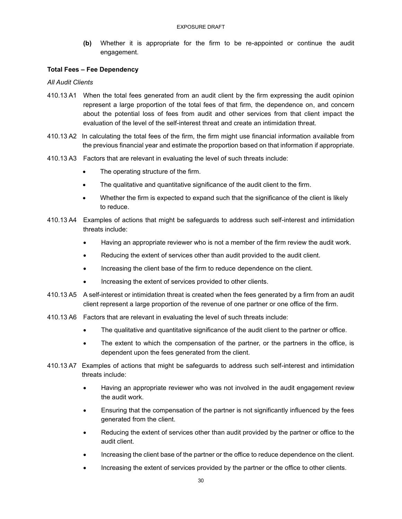**(b)** Whether it is appropriate for the firm to be re-appointed or continue the audit engagement.

#### **Total Fees – Fee Dependency**

#### *All Audit Clients*

- 410.13 A1 When the total fees generated from an audit client by the firm expressing the audit opinion represent a large proportion of the total fees of that firm, the dependence on, and concern about the potential loss of fees from audit and other services from that client impact the evaluation of the level of the self-interest threat and create an intimidation threat.
- 410.13 A2 In calculating the total fees of the firm, the firm might use financial information available from the previous financial year and estimate the proportion based on that information if appropriate.
- 410.13 A3 Factors that are relevant in evaluating the level of such threats include:
	- The operating structure of the firm.
	- The qualitative and quantitative significance of the audit client to the firm.
	- Whether the firm is expected to expand such that the significance of the client is likely to reduce.
- 410.13 A4 Examples of actions that might be safeguards to address such self-interest and intimidation threats include:
	- Having an appropriate reviewer who is not a member of the firm review the audit work.
	- Reducing the extent of services other than audit provided to the audit client.
	- Increasing the client base of the firm to reduce dependence on the client.
	- Increasing the extent of services provided to other clients.
- 410.13 A5 A self-interest or intimidation threat is created when the fees generated by a firm from an audit client represent a large proportion of the revenue of one partner or one office of the firm.
- 410.13 A6 Factors that are relevant in evaluating the level of such threats include:
	- The qualitative and quantitative significance of the audit client to the partner or office.
	- The extent to which the compensation of the partner, or the partners in the office, is dependent upon the fees generated from the client.
- 410.13 A7 Examples of actions that might be safeguards to address such self-interest and intimidation threats include:
	- Having an appropriate reviewer who was not involved in the audit engagement review the audit work.
	- Ensuring that the compensation of the partner is not significantly influenced by the fees generated from the client.
	- Reducing the extent of services other than audit provided by the partner or office to the audit client.
	- Increasing the client base of the partner or the office to reduce dependence on the client.
	- Increasing the extent of services provided by the partner or the office to other clients.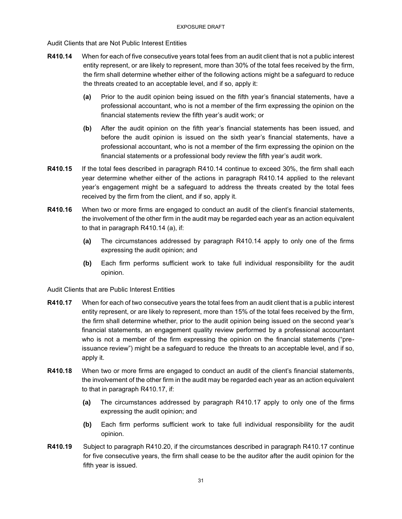Audit Clients that are Not Public Interest Entities

- **R410.14** When for each of five consecutive years total fees from an audit client that is not a public interest entity represent, or are likely to represent, more than 30% of the total fees received by the firm, the firm shall determine whether either of the following actions might be a safeguard to reduce the threats created to an acceptable level, and if so, apply it:
	- **(a)** Prior to the audit opinion being issued on the fifth year's financial statements, have a professional accountant, who is not a member of the firm expressing the opinion on the financial statements review the fifth year's audit work; or
	- **(b)** After the audit opinion on the fifth year's financial statements has been issued, and before the audit opinion is issued on the sixth year's financial statements, have a professional accountant, who is not a member of the firm expressing the opinion on the financial statements or a professional body review the fifth year's audit work.
- **R410.15** If the total fees described in paragraph R410.14 continue to exceed 30%, the firm shall each year determine whether either of the actions in paragraph R410.14 applied to the relevant year's engagement might be a safeguard to address the threats created by the total fees received by the firm from the client, and if so, apply it.
- **R410.16** When two or more firms are engaged to conduct an audit of the client's financial statements, the involvement of the other firm in the audit may be regarded each year as an action equivalent to that in paragraph R410.14 (a), if:
	- **(a)** The circumstances addressed by paragraph R410.14 apply to only one of the firms expressing the audit opinion; and
	- **(b)** Each firm performs sufficient work to take full individual responsibility for the audit opinion.

Audit Clients that are Public Interest Entities

- **R410.17** When for each of two consecutive years the total fees from an audit client that is a public interest entity represent, or are likely to represent, more than 15% of the total fees received by the firm, the firm shall determine whether, prior to the audit opinion being issued on the second year's financial statements, an engagement quality review performed by a professional accountant who is not a member of the firm expressing the opinion on the financial statements ("preissuance review") might be a safeguard to reduce the threats to an acceptable level, and if so, apply it.
- **R410.18** When two or more firms are engaged to conduct an audit of the client's financial statements, the involvement of the other firm in the audit may be regarded each year as an action equivalent to that in paragraph R410.17, if:
	- **(a)** The circumstances addressed by paragraph R410.17 apply to only one of the firms expressing the audit opinion; and
	- **(b)** Each firm performs sufficient work to take full individual responsibility for the audit opinion.
- **R410.19** Subject to paragraph R410.20, if the circumstances described in paragraph R410.17 continue for five consecutive years, the firm shall cease to be the auditor after the audit opinion for the fifth year is issued.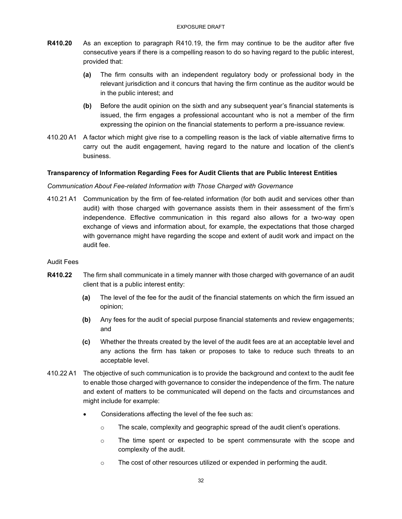- **R410.20** As an exception to paragraph R410.19, the firm may continue to be the auditor after five consecutive years if there is a compelling reason to do so having regard to the public interest, provided that:
	- **(a)** The firm consults with an independent regulatory body or professional body in the relevant jurisdiction and it concurs that having the firm continue as the auditor would be in the public interest; and
	- **(b)** Before the audit opinion on the sixth and any subsequent year's financial statements is issued, the firm engages a professional accountant who is not a member of the firm expressing the opinion on the financial statements to perform a pre-issuance review.
- 410.20 A1 A factor which might give rise to a compelling reason is the lack of viable alternative firms to carry out the audit engagement, having regard to the nature and location of the client's business.

#### **Transparency of Information Regarding Fees for Audit Clients that are Public Interest Entities**

#### *Communication About Fee-related Information with Those Charged with Governance*

410.21 A1 Communication by the firm of fee-related information (for both audit and services other than audit) with those charged with governance assists them in their assessment of the firm's independence. Effective communication in this regard also allows for a two-way open exchange of views and information about, for example, the expectations that those charged with governance might have regarding the scope and extent of audit work and impact on the audit fee.

#### Audit Fees

- **R410.22** The firm shall communicate in a timely manner with those charged with governance of an audit client that is a public interest entity:
	- **(a)** The level of the fee for the audit of the financial statements on which the firm issued an opinion;
	- **(b)** Any fees for the audit of special purpose financial statements and review engagements; and
	- **(c)** Whether the threats created by the level of the audit fees are at an acceptable level and any actions the firm has taken or proposes to take to reduce such threats to an acceptable level.
- 410.22 A1 The objective of such communication is to provide the background and context to the audit fee to enable those charged with governance to consider the independence of the firm. The nature and extent of matters to be communicated will depend on the facts and circumstances and might include for example:
	- Considerations affecting the level of the fee such as:
		- $\circ$  The scale, complexity and geographic spread of the audit client's operations.
		- $\circ$  The time spent or expected to be spent commensurate with the scope and complexity of the audit.
		- o The cost of other resources utilized or expended in performing the audit.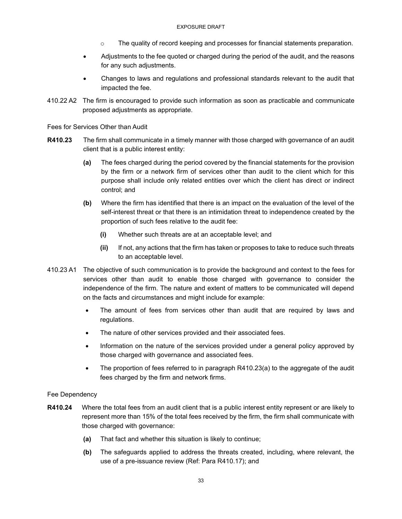- $\circ$  The quality of record keeping and processes for financial statements preparation.
- Adjustments to the fee quoted or charged during the period of the audit, and the reasons for any such adjustments.
- Changes to laws and regulations and professional standards relevant to the audit that impacted the fee.
- 410.22 A2 The firm is encouraged to provide such information as soon as practicable and communicate proposed adjustments as appropriate.

Fees for Services Other than Audit

- **R410.23** The firm shall communicate in a timely manner with those charged with governance of an audit client that is a public interest entity:
	- **(a)** The fees charged during the period covered by the financial statements for the provision by the firm or a network firm of services other than audit to the client which for this purpose shall include only related entities over which the client has direct or indirect control; and
	- **(b)** Where the firm has identified that there is an impact on the evaluation of the level of the self-interest threat or that there is an intimidation threat to independence created by the proportion of such fees relative to the audit fee:
		- **(i)** Whether such threats are at an acceptable level; and
		- **(ii)** If not, any actions that the firm has taken or proposes to take to reduce such threats to an acceptable level.
- 410.23 A1 The objective of such communication is to provide the background and context to the fees for services other than audit to enable those charged with governance to consider the independence of the firm. The nature and extent of matters to be communicated will depend on the facts and circumstances and might include for example:
	- The amount of fees from services other than audit that are required by laws and regulations.
	- The nature of other services provided and their associated fees.
	- Information on the nature of the services provided under a general policy approved by those charged with governance and associated fees.
	- The proportion of fees referred to in paragraph R410.23(a) to the aggregate of the audit fees charged by the firm and network firms.

#### Fee Dependency

- **R410.24** Where the total fees from an audit client that is a public interest entity represent or are likely to represent more than 15% of the total fees received by the firm, the firm shall communicate with those charged with governance:
	- **(a)** That fact and whether this situation is likely to continue;
	- **(b)** The safeguards applied to address the threats created, including, where relevant, the use of a pre-issuance review (Ref: Para R410.17); and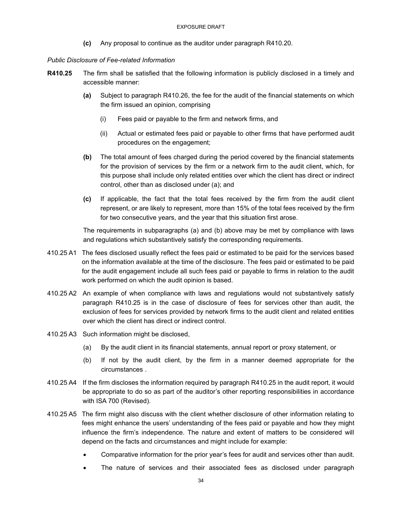**(c)** Any proposal to continue as the auditor under paragraph R410.20.

#### *Public Disclosure of Fee-related Information*

- **R410.25** The firm shall be satisfied that the following information is publicly disclosed in a timely and accessible manner:
	- **(a)** Subject to paragraph R410.26, the fee for the audit of the financial statements on which the firm issued an opinion, comprising
		- (i) Fees paid or payable to the firm and network firms, and
		- (ii) Actual or estimated fees paid or payable to other firms that have performed audit procedures on the engagement;
	- **(b)** The total amount of fees charged during the period covered by the financial statements for the provision of services by the firm or a network firm to the audit client, which, for this purpose shall include only related entities over which the client has direct or indirect control, other than as disclosed under (a); and
	- **(c)** If applicable, the fact that the total fees received by the firm from the audit client represent, or are likely to represent, more than 15% of the total fees received by the firm for two consecutive years, and the year that this situation first arose.

The requirements in subparagraphs (a) and (b) above may be met by compliance with laws and regulations which substantively satisfy the corresponding requirements.

- 410.25 A1 The fees disclosed usually reflect the fees paid or estimated to be paid for the services based on the information available at the time of the disclosure. The fees paid or estimated to be paid for the audit engagement include all such fees paid or payable to firms in relation to the audit work performed on which the audit opinion is based.
- 410.25 A2 An example of when compliance with laws and regulations would not substantively satisfy paragraph R410.25 is in the case of disclosure of fees for services other than audit, the exclusion of fees for services provided by network firms to the audit client and related entities over which the client has direct or indirect control.
- 410.25 A3 Such information might be disclosed,
	- (a) By the audit client in its financial statements, annual report or proxy statement, or
	- (b) If not by the audit client, by the firm in a manner deemed appropriate for the circumstances .
- 410.25 A4 If the firm discloses the information required by paragraph R410.25 in the audit report, it would be appropriate to do so as part of the auditor's other reporting responsibilities in accordance with ISA 700 (Revised).
- 410.25 A5 The firm might also discuss with the client whether disclosure of other information relating to fees might enhance the users' understanding of the fees paid or payable and how they might influence the firm's independence. The nature and extent of matters to be considered will depend on the facts and circumstances and might include for example:
	- Comparative information for the prior year's fees for audit and services other than audit.
	- The nature of services and their associated fees as disclosed under paragraph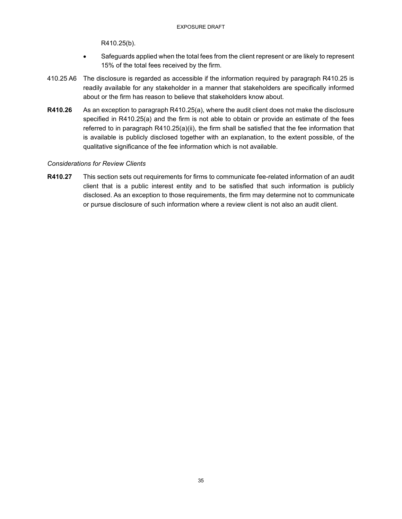R410.25(b).

- Safeguards applied when the total fees from the client represent or are likely to represent 15% of the total fees received by the firm.
- 410.25 A6 The disclosure is regarded as accessible if the information required by paragraph R410.25 is readily available for any stakeholder in a manner that stakeholders are specifically informed about or the firm has reason to believe that stakeholders know about.
- **R410.26** As an exception to paragraph R410.25(a), where the audit client does not make the disclosure specified in R410.25(a) and the firm is not able to obtain or provide an estimate of the fees referred to in paragraph R410.25(a)(ii), the firm shall be satisfied that the fee information that is available is publicly disclosed together with an explanation, to the extent possible, of the qualitative significance of the fee information which is not available.

#### *Considerations for Review Clients*

**R410.27** This section sets out requirements for firms to communicate fee-related information of an audit client that is a public interest entity and to be satisfied that such information is publicly disclosed. As an exception to those requirements, the firm may determine not to communicate or pursue disclosure of such information where a review client is not also an audit client.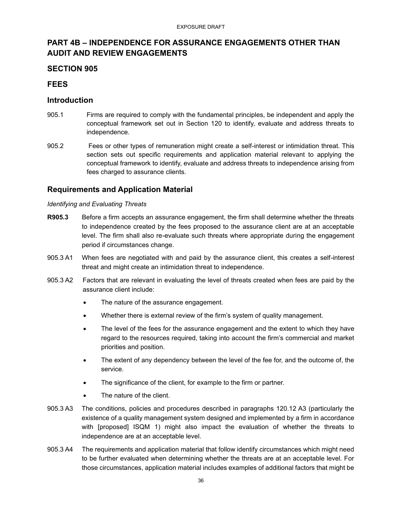## **PART 4B – INDEPENDENCE FOR ASSURANCE ENGAGEMENTS OTHER THAN AUDIT AND REVIEW ENGAGEMENTS**

## **SECTION 905**

## **FEES**

## **Introduction**

- 905.1 Firms are required to comply with the fundamental principles, be independent and apply the conceptual framework set out in Section 120 to identify, evaluate and address threats to independence.
- 905.2 Fees or other types of remuneration might create a self-interest or intimidation threat. This section sets out specific requirements and application material relevant to applying the conceptual framework to identify, evaluate and address threats to independence arising from fees charged to assurance clients.

## **Requirements and Application Material**

#### *Identifying and Evaluating Threats*

- **R905.3** Before a firm accepts an assurance engagement, the firm shall determine whether the threats to independence created by the fees proposed to the assurance client are at an acceptable level. The firm shall also re-evaluate such threats where appropriate during the engagement period if circumstances change.
- 905.3 A1 When fees are negotiated with and paid by the assurance client, this creates a self-interest threat and might create an intimidation threat to independence.
- 905.3 A2 Factors that are relevant in evaluating the level of threats created when fees are paid by the assurance client include:
	- The nature of the assurance engagement.
	- Whether there is external review of the firm's system of quality management.
	- The level of the fees for the assurance engagement and the extent to which they have regard to the resources required, taking into account the firm's commercial and market priorities and position.
	- The extent of any dependency between the level of the fee for, and the outcome of, the service.
	- The significance of the client, for example to the firm or partner.
	- The nature of the client.
- 905.3 A3 The conditions, policies and procedures described in paragraphs 120.12 A3 (particularly the existence of a quality management system designed and implemented by a firm in accordance with [proposed] ISQM 1) might also impact the evaluation of whether the threats to independence are at an acceptable level.
- 905.3 A4 The requirements and application material that follow identify circumstances which might need to be further evaluated when determining whether the threats are at an acceptable level. For those circumstances, application material includes examples of additional factors that might be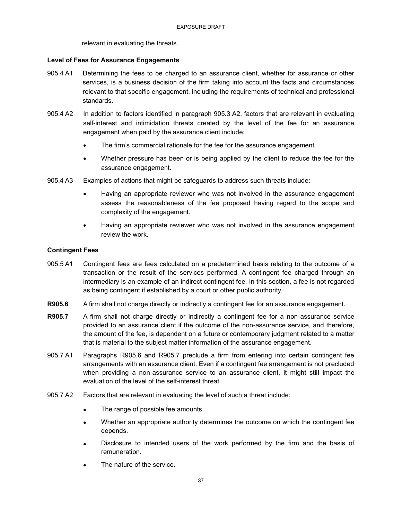relevant in evaluating the threats.

#### **Level of Fees for Assurance Engagements**

- 905.4 A1 Determining the fees to be charged to an assurance client, whether for assurance or other services, is a business decision of the firm taking into account the facts and circumstances relevant to that specific engagement, including the requirements of technical and professional standards.
- 905.4 A2 In addition to factors identified in paragraph 905.3 A2, factors that are relevant in evaluating self-interest and intimidation threats created by the level of the fee for an assurance engagement when paid by the assurance client include:
	- The firm's commercial rationale for the fee for the assurance engagement.
	- Whether pressure has been or is being applied by the client to reduce the fee for the assurance engagement.
- 905.4 A3 Examples of actions that might be safeguards to address such threats include:
	- Having an appropriate reviewer who was not involved in the assurance engagement assess the reasonableness of the fee proposed having regard to the scope and complexity of the engagement.
	- Having an appropriate reviewer who was not involved in the assurance engagement review the work.

#### **Contingent Fees**

- 905.5 A1 Contingent fees are fees calculated on a predetermined basis relating to the outcome of a transaction or the result of the services performed. A contingent fee charged through an intermediary is an example of an indirect contingent fee. In this section, a fee is not regarded as being contingent if established by a court or other public authority.
- **R905.6** A firm shall not charge directly or indirectly a contingent fee for an assurance engagement.
- **R905.7** A firm shall not charge directly or indirectly a contingent fee for a non-assurance service provided to an assurance client if the outcome of the non-assurance service, and therefore, the amount of the fee, is dependent on a future or contemporary judgment related to a matter that is material to the subject matter information of the assurance engagement.
- 905.7 A1 Paragraphs R905.6 and R905.7 preclude a firm from entering into certain contingent fee arrangements with an assurance client. Even if a contingent fee arrangement is not precluded when providing a non-assurance service to an assurance client, it might still impact the evaluation of the level of the self-interest threat.
- 905.7 A2 Factors that are relevant in evaluating the level of such a threat include:
	- The range of possible fee amounts.
	- Whether an appropriate authority determines the outcome on which the contingent fee depends.
	- Disclosure to intended users of the work performed by the firm and the basis of remuneration.
	- The nature of the service.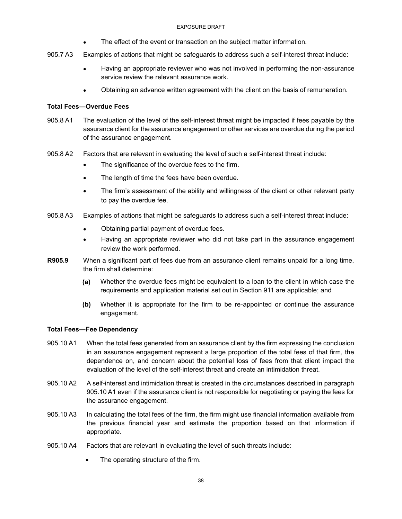#### EXPOSURE DRAFT

- The effect of the event or transaction on the subject matter information.
- 905.7 A3 Examples of actions that might be safeguards to address such a self-interest threat include:
	- Having an appropriate reviewer who was not involved in performing the non-assurance service review the relevant assurance work.
	- Obtaining an advance written agreement with the client on the basis of remuneration.

#### **Total Fees―Overdue Fees**

- 905.8 A1 The evaluation of the level of the self-interest threat might be impacted if fees payable by the assurance client for the assurance engagement or other services are overdue during the period of the assurance engagement.
- 905.8 A2 Factors that are relevant in evaluating the level of such a self-interest threat include:
	- The significance of the overdue fees to the firm.
	- The length of time the fees have been overdue.
	- The firm's assessment of the ability and willingness of the client or other relevant party to pay the overdue fee.
- 905.8 A3 Examples of actions that might be safeguards to address such a self-interest threat include:
	- Obtaining partial payment of overdue fees.
	- Having an appropriate reviewer who did not take part in the assurance engagement review the work performed.
- **R905.9** When a significant part of fees due from an assurance client remains unpaid for a long time, the firm shall determine:
	- **(a)** Whether the overdue fees might be equivalent to a loan to the client in which case the requirements and application material set out in Section 911 are applicable; and
	- **(b)** Whether it is appropriate for the firm to be re-appointed or continue the assurance engagement.

### **Total Fees―Fee Dependency**

- 905.10 A1 When the total fees generated from an assurance client by the firm expressing the conclusion in an assurance engagement represent a large proportion of the total fees of that firm, the dependence on, and concern about the potential loss of fees from that client impact the evaluation of the level of the self-interest threat and create an intimidation threat.
- 905.10 A2 A self-interest and intimidation threat is created in the circumstances described in paragraph 905.10 A1 even if the assurance client is not responsible for negotiating or paying the fees for the assurance engagement.
- 905.10 A3 In calculating the total fees of the firm, the firm might use financial information available from the previous financial year and estimate the proportion based on that information if appropriate.
- 905.10 A4 Factors that are relevant in evaluating the level of such threats include:
	- The operating structure of the firm.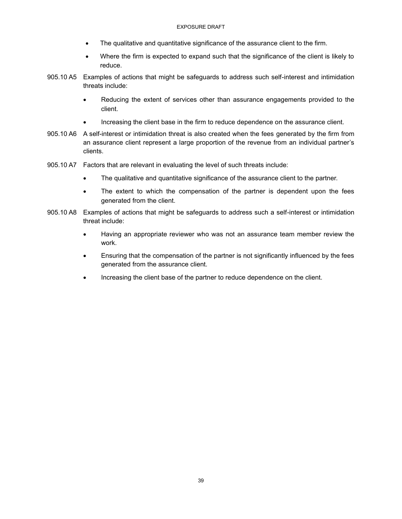- The qualitative and quantitative significance of the assurance client to the firm.
- Where the firm is expected to expand such that the significance of the client is likely to reduce.
- 905.10 A5 Examples of actions that might be safeguards to address such self-interest and intimidation threats include:
	- Reducing the extent of services other than assurance engagements provided to the client.
	- Increasing the client base in the firm to reduce dependence on the assurance client.
- 905.10 A6 A self-interest or intimidation threat is also created when the fees generated by the firm from an assurance client represent a large proportion of the revenue from an individual partner's clients.
- 905.10 A7 Factors that are relevant in evaluating the level of such threats include:
	- The qualitative and quantitative significance of the assurance client to the partner.
	- The extent to which the compensation of the partner is dependent upon the fees generated from the client.
- 905.10 A8 Examples of actions that might be safeguards to address such a self-interest or intimidation threat include:
	- Having an appropriate reviewer who was not an assurance team member review the work.
	- Ensuring that the compensation of the partner is not significantly influenced by the fees generated from the assurance client.
	- Increasing the client base of the partner to reduce dependence on the client.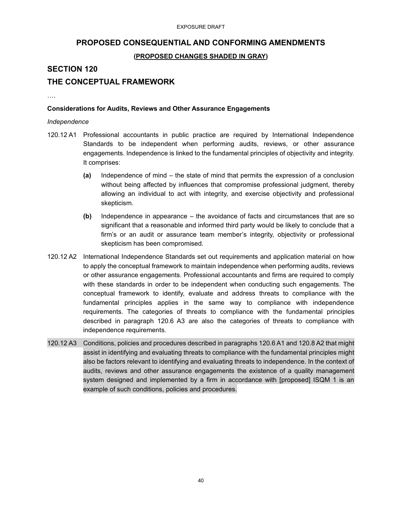## **PROPOSED CONSEQUENTIAL AND CONFORMING AMENDMENTS**

## **(PROPOSED CHANGES SHADED IN GRAY)**

## **SECTION 120**

## **THE CONCEPTUAL FRAMEWORK**

….

#### **Considerations for Audits, Reviews and Other Assurance Engagements**

#### *Independence*

- 120.12 A1 Professional accountants in public practice are required by International Independence Standards to be independent when performing audits, reviews, or other assurance engagements. Independence is linked to the fundamental principles of objectivity and integrity. It comprises:
	- **(a)** Independence of mind the state of mind that permits the expression of a conclusion without being affected by influences that compromise professional judgment, thereby allowing an individual to act with integrity, and exercise objectivity and professional skepticism.
	- **(b)** Independence in appearance the avoidance of facts and circumstances that are so significant that a reasonable and informed third party would be likely to conclude that a firm's or an audit or assurance team member's integrity, objectivity or professional skepticism has been compromised.
- 120.12 A2 International Independence Standards set out requirements and application material on how to apply the conceptual framework to maintain independence when performing audits, reviews or other assurance engagements. Professional accountants and firms are required to comply with these standards in order to be independent when conducting such engagements. The conceptual framework to identify, evaluate and address threats to compliance with the fundamental principles applies in the same way to compliance with independence requirements. The categories of threats to compliance with the fundamental principles described in paragraph 120.6 A3 are also the categories of threats to compliance with independence requirements.
- 120.12 A3 Conditions, policies and procedures described in paragraphs 120.6 A1 and 120.8 A2 that might assist in identifying and evaluating threats to compliance with the fundamental principles might also be factors relevant to identifying and evaluating threats to independence. In the context of audits, reviews and other assurance engagements the existence of a quality management system designed and implemented by a firm in accordance with [proposed] ISQM 1 is an example of such conditions, policies and procedures.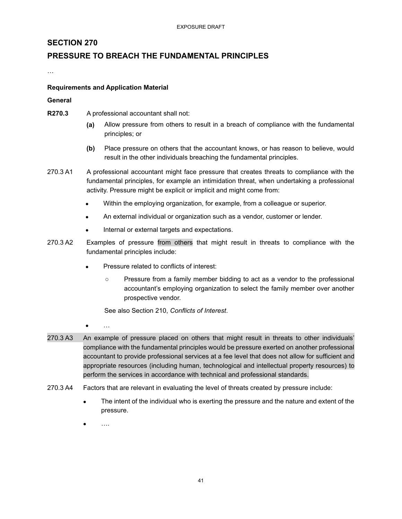## **SECTION 270**

## **PRESSURE TO BREACH THE FUNDAMENTAL PRINCIPLES**

…

#### **Requirements and Application Material**

#### **General**

- **R270.3** A professional accountant shall not:
	- **(a)** Allow pressure from others to result in a breach of compliance with the fundamental principles; or
	- **(b)** Place pressure on others that the accountant knows, or has reason to believe, would result in the other individuals breaching the fundamental principles.
- 270.3 A1 A professional accountant might face pressure that creates threats to compliance with the fundamental principles, for example an intimidation threat, when undertaking a professional activity. Pressure might be explicit or implicit and might come from:
	- Within the employing organization, for example, from a colleague or superior.
	- An external individual or organization such as a vendor, customer or lender.
	- Internal or external targets and expectations.
- 270.3 A2 Examples of pressure from others that might result in threats to compliance with the fundamental principles include:
	- Pressure related to conflicts of interest:
		- Pressure from a family member bidding to act as a vendor to the professional accountant's employing organization to select the family member over another prospective vendor.

See also Section 210, *Conflicts of Interest*.

- …
- 270.3 A3 An example of pressure placed on others that might result in threats to other individuals' compliance with the fundamental principles would be pressure exerted on another professional accountant to provide professional services at a fee level that does not allow for sufficient and appropriate resources (including human, technological and intellectual property resources) to perform the services in accordance with technical and professional standards.
- 270.3 A4 Factors that are relevant in evaluating the level of threats created by pressure include:
	- The intent of the individual who is exerting the pressure and the nature and extent of the pressure.
	- ….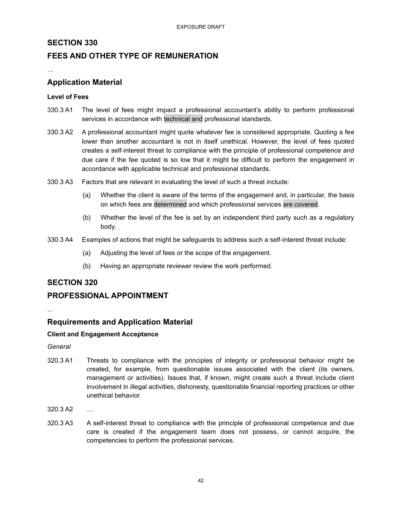## **SECTION 330**

## **FEES AND OTHER TYPE OF REMUNERATION**

…

## **Application Material**

#### **Level of Fees**

- 330.3 A1 The level of fees might impact a professional accountant's ability to perform professional services in accordance with technical and professional standards.
- 330.3 A2 A professional accountant might quote whatever fee is considered appropriate. Quoting a fee lower than another accountant is not in itself unethical. However, the level of fees quoted creates a self-interest threat to compliance with the principle of professional competence and due care if the fee quoted is so low that it might be difficult to perform the engagement in accordance with applicable technical and professional standards.
- 330.3 A3 Factors that are relevant in evaluating the level of such a threat include:
	- (a) Whether the client is aware of the terms of the engagement and, in particular, the basis on which fees are determined and which professional services are covered.
	- (b) Whether the level of the fee is set by an independent third party such as a regulatory body.
- 330.3 A4 Examples of actions that might be safeguards to address such a self-interest threat include:
	- (a) Adjusting the level of fees or the scope of the engagement.
	- (b) Having an appropriate reviewer review the work performed.

## **SECTION 320**

## **PROFESSIONAL APPOINTMENT**

...

## **Requirements and Application Material**

### **Client and Engagement Acceptance**

*General*

- 320.3 A1 Threats to compliance with the principles of integrity or professional behavior might be created, for example, from questionable issues associated with the client (its owners, management or activities). Issues that, if known, might create such a threat include client involvement in illegal activities, dishonesty, questionable financial reporting practices or other unethical behavior.
- 320.3 A2 …
- 320.3 A3 A self-interest threat to compliance with the principle of professional competence and due care is created if the engagement team does not possess, or cannot acquire, the competencies to perform the professional services.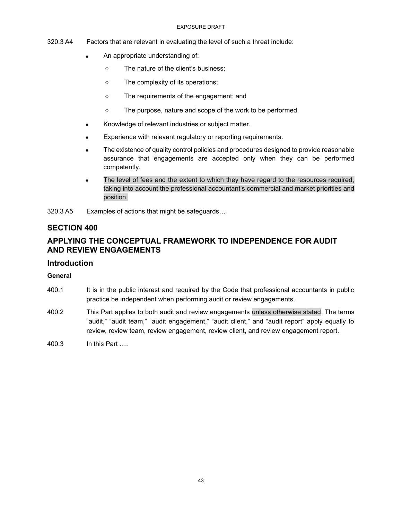#### EXPOSURE DRAFT

- 320.3 A4 Factors that are relevant in evaluating the level of such a threat include:
	- An appropriate understanding of:
		- The nature of the client's business;
		- The complexity of its operations;
		- The requirements of the engagement; and
		- The purpose, nature and scope of the work to be performed.
	- Knowledge of relevant industries or subject matter.
	- Experience with relevant regulatory or reporting requirements.
	- The existence of quality control policies and procedures designed to provide reasonable assurance that engagements are accepted only when they can be performed competently.
	- The level of fees and the extent to which they have regard to the resources required, taking into account the professional accountant's commercial and market priorities and position.

320.3 A5 Examples of actions that might be safeguards…

## **SECTION 400**

## **APPLYING THE CONCEPTUAL FRAMEWORK TO INDEPENDENCE FOR AUDIT AND REVIEW ENGAGEMENTS**

## **Introduction**

### **General**

- 400.1 It is in the public interest and required by the Code that professional accountants in public practice be independent when performing audit or review engagements.
- 400.2 This Part applies to both audit and review engagements unless otherwise stated. The terms "audit," "audit team," "audit engagement," "audit client," and "audit report" apply equally to review, review team, review engagement, review client, and review engagement report.
- 400.3 In this Part ….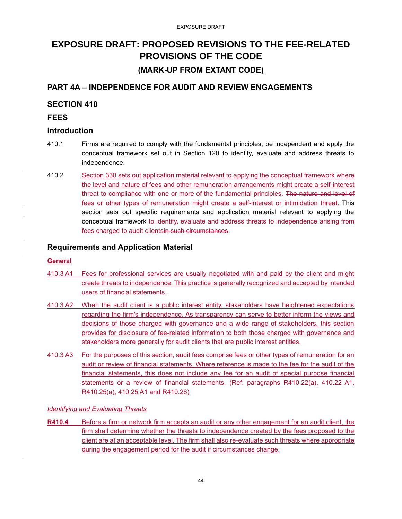## **EXPOSURE DRAFT: PROPOSED REVISIONS TO THE FEE-RELATED PROVISIONS OF THE CODE (MARK-UP FROM EXTANT CODE)**

## **PART 4A – INDEPENDENCE FOR AUDIT AND REVIEW ENGAGEMENTS**

## **SECTION 410**

## **FEES**

## **Introduction**

- 410.1 Firms are required to comply with the fundamental principles, be independent and apply the conceptual framework set out in Section 120 to identify, evaluate and address threats to independence.
- 410.2 Section 330 sets out application material relevant to applying the conceptual framework where the level and nature of fees and other remuneration arrangements might create a self-interest threat to compliance with one or more of the fundamental principles. The nature and level of fees or other types of remuneration might create a self-interest or intimidation threat. This section sets out specific requirements and application material relevant to applying the conceptual framework to identify, evaluate and address threats to independence arising from fees charged to audit clientsin such circumstances.

## **Requirements and Application Material**

## **General**

- 410.3 A1 Fees for professional services are usually negotiated with and paid by the client and might create threats to independence. This practice is generally recognized and accepted by intended users of financial statements.
- 410.3 A2 When the audit client is a public interest entity, stakeholders have heightened expectations regarding the firm's independence. As transparency can serve to better inform the views and decisions of those charged with governance and a wide range of stakeholders, this section provides for disclosure of fee-related information to both those charged with governance and stakeholders more generally for audit clients that are public interest entities.
- 410.3 A3 For the purposes of this section, audit fees comprise fees or other types of remuneration for an audit or review of financial statements. Where reference is made to the fee for the audit of the financial statements, this does not include any fee for an audit of special purpose financial statements or a review of financial statements. (Ref: paragraphs R410.22(a), 410.22 A1, R410.25(a), 410.25 A1 and R410.26)

## *Identifying and Evaluating Threats*

**R410.4** Before a firm or network firm accepts an audit or any other engagement for an audit client, the firm shall determine whether the threats to independence created by the fees proposed to the client are at an acceptable level. The firm shall also re-evaluate such threats where appropriate during the engagement period for the audit if circumstances change.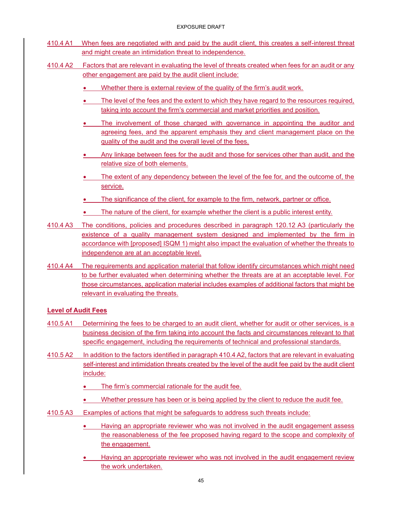- 410.4 A1 When fees are negotiated with and paid by the audit client, this creates a self-interest threat and might create an intimidation threat to independence.
- 410.4 A2 Factors that are relevant in evaluating the level of threats created when fees for an audit or any other engagement are paid by the audit client include:
	- Whether there is external review of the quality of the firm's audit work.
	- The level of the fees and the extent to which they have regard to the resources required, taking into account the firm's commercial and market priorities and position.
	- The involvement of those charged with governance in appointing the auditor and agreeing fees, and the apparent emphasis they and client management place on the quality of the audit and the overall level of the fees.
	- Any linkage between fees for the audit and those for services other than audit, and the relative size of both elements.
	- The extent of any dependency between the level of the fee for, and the outcome of, the service.
	- The significance of the client, for example to the firm, network, partner or office.
	- The nature of the client, for example whether the client is a public interest entity.
- 410.4 A3 The conditions, policies and procedures described in paragraph 120.12 A3 (particularly the existence of a quality management system designed and implemented by the firm in accordance with [proposed] ISQM 1) might also impact the evaluation of whether the threats to independence are at an acceptable level.
- 410.4 A4 The requirements and application material that follow identify circumstances which might need to be further evaluated when determining whether the threats are at an acceptable level. For those circumstances, application material includes examples of additional factors that might be relevant in evaluating the threats.

## **Level of Audit Fees**

- 410.5 A1 Determining the fees to be charged to an audit client, whether for audit or other services, is a business decision of the firm taking into account the facts and circumstances relevant to that specific engagement, including the requirements of technical and professional standards.
- 410.5 A2 In addition to the factors identified in paragraph 410.4 A2, factors that are relevant in evaluating self-interest and intimidation threats created by the level of the audit fee paid by the audit client include:
	- The firm's commercial rationale for the audit fee.
	- Whether pressure has been or is being applied by the client to reduce the audit fee.
- 410.5 A3 Examples of actions that might be safeguards to address such threats include:
	- Having an appropriate reviewer who was not involved in the audit engagement assess the reasonableness of the fee proposed having regard to the scope and complexity of the engagement.
	- Having an appropriate reviewer who was not involved in the audit engagement review the work undertaken.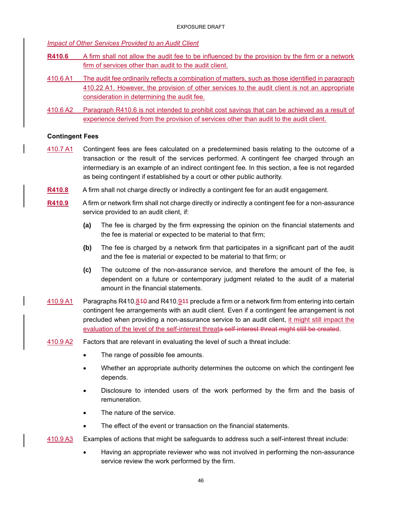*Impact of Other Services Provided to an Audit Client* 

- **R410.6** A firm shall not allow the audit fee to be influenced by the provision by the firm or a network firm of services other than audit to the audit client.
- 410.6 A1 The audit fee ordinarily reflects a combination of matters, such as those identified in paragraph 410.22 A1. However, the provision of other services to the audit client is not an appropriate consideration in determining the audit fee.
- 410.6 A2 Paragraph R410.6 is not intended to prohibit cost savings that can be achieved as a result of experience derived from the provision of services other than audit to the audit client.

#### **Contingent Fees**

- 410.7 A1 Contingent fees are fees calculated on a predetermined basis relating to the outcome of a transaction or the result of the services performed. A contingent fee charged through an intermediary is an example of an indirect contingent fee. In this section, a fee is not regarded as being contingent if established by a court or other public authority.
- **R410.8** A firm shall not charge directly or indirectly a contingent fee for an audit engagement.
- **R410.9** A firm or network firm shall not charge directly or indirectly a contingent fee for a non-assurance service provided to an audit client, if:
	- **(a)** The fee is charged by the firm expressing the opinion on the financial statements and the fee is material or expected to be material to that firm;
	- **(b)** The fee is charged by a network firm that participates in a significant part of the audit and the fee is material or expected to be material to that firm; or
	- **(c)** The outcome of the non-assurance service, and therefore the amount of the fee, is dependent on a future or contemporary judgment related to the audit of a material amount in the financial statements.
- 410.9 A1 Paragraphs R410.810 and R410.911 preclude a firm or a network firm from entering into certain contingent fee arrangements with an audit client. Even if a contingent fee arrangement is not precluded when providing a non-assurance service to an audit client, it might still impact the evaluation of the level of the self-interest threata self-interest threat might still be created.
- 410.9 A2 Factors that are relevant in evaluating the level of such a threat include:
	- The range of possible fee amounts.
	- Whether an appropriate authority determines the outcome on which the contingent fee depends.
	- Disclosure to intended users of the work performed by the firm and the basis of remuneration.
	- The nature of the service.
	- The effect of the event or transaction on the financial statements.
- 410.9 A3 Examples of actions that might be safeguards to address such a self-interest threat include:
	- Having an appropriate reviewer who was not involved in performing the non-assurance service review the work performed by the firm.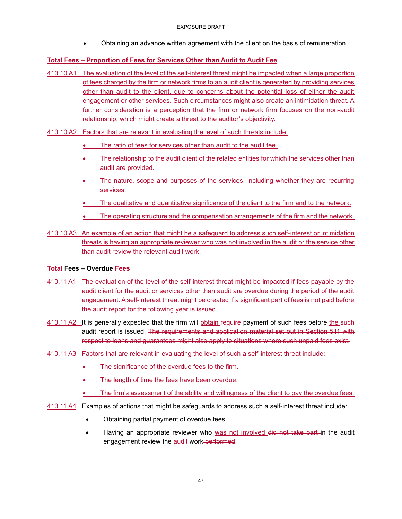• Obtaining an advance written agreement with the client on the basis of remuneration.

## **Total Fees – Proportion of Fees for Services Other than Audit to Audit Fee**

410.10 A1 The evaluation of the level of the self-interest threat might be impacted when a large proportion of fees charged by the firm or network firms to an audit client is generated by providing services other than audit to the client, due to concerns about the potential loss of either the audit engagement or other services. Such circumstances might also create an intimidation threat. A further consideration is a perception that the firm or network firm focuses on the non-audit relationship, which might create a threat to the auditor's objectivity.

410.10 A2 Factors that are relevant in evaluating the level of such threats include:

- The ratio of fees for services other than audit to the audit fee.
- The relationship to the audit client of the related entities for which the services other than audit are provided.
- The nature, scope and purposes of the services, including whether they are recurring services.
- The qualitative and quantitative significance of the client to the firm and to the network.
- The operating structure and the compensation arrangements of the firm and the network.
- 410.10 A3 An example of an action that might be a safeguard to address such self-interest or intimidation threats is having an appropriate reviewer who was not involved in the audit or the service other than audit review the relevant audit work.

### **Total Fees – Overdue Fees**

- 410.11 A1 The evaluation of the level of the self-interest threat might be impacted if fees payable by the audit client for the audit or services other than audit are overdue during the period of the audit engagement. A self-interest threat might be created if a significant part of fees is not paid before the audit report for the following year is issued.
- 410.11 A2 It is generally expected that the firm will obtain require-payment of such fees before the such audit report is issued. The requirements and application material set out in Section 511 with respect to loans and guarantees might also apply to situations where such unpaid fees exist.
- 410.11 A3 Factors that are relevant in evaluating the level of such a self-interest threat include:
	- The significance of the overdue fees to the firm.
	- The length of time the fees have been overdue.
	- The firm's assessment of the ability and willingness of the client to pay the overdue fees.
- 410.11 A4 Examples of actions that might be safeguards to address such a self-interest threat include:
	- Obtaining partial payment of overdue fees.
	- Having an appropriate reviewer who was not involved did not take part in the audit engagement review the audit work-performed.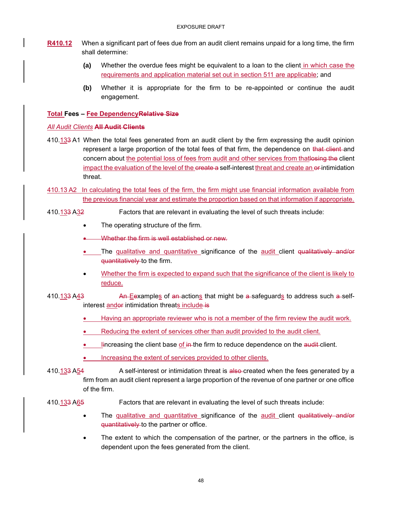- **R410.12** When a significant part of fees due from an audit client remains unpaid for a long time, the firm shall determine:
	- **(a)** Whether the overdue fees might be equivalent to a loan to the client in which case the requirements and application material set out in section 511 are applicable; and
	- **(b)** Whether it is appropriate for the firm to be re-appointed or continue the audit engagement.

### **Total Fees – Fee DependencyRelative Size**

### *All Audit Clients* **All Audit Clients**

- 410.133 A1 When the total fees generated from an audit client by the firm expressing the audit opinion represent a large proportion of the total fees of that firm, the dependence on that client and concern about the potential loss of fees from audit and other services from that losing the client impact the evaluation of the level of the create a self-interest threat and create an exintimidation threat.
- 410.13 A2 In calculating the total fees of the firm, the firm might use financial information available from the previous financial year and estimate the proportion based on that information if appropriate.

## 410.133 A32 Factors that are relevant in evaluating the level of such threats include:

- The operating structure of the firm.
- Whether the firm is well established or new.
- The qualitative and quantitative significance of the audit client qualitatively and/or quantitatively to the firm.
- Whether the firm is expected to expand such that the significance of the client is likely to reduce.

410.133 A43 An Eexamples of an actions that might be a safeguards to address such a selfinterest andor intimidation threats include is

- Having an appropriate reviewer who is not a member of the firm review the audit work.
- Reducing the extent of services other than audit provided to the audit client.
- **Increasing the client base of in-the firm to reduce dependence on the audit-client.**
- Increasing the extent of services provided to other clients.

410.133 A54 A self-interest or intimidation threat is also-created when the fees generated by a firm from an audit client represent a large proportion of the revenue of one partner or one office of the firm.

### 410.133 A65 Factors that are relevant in evaluating the level of such threats include:

- The qualitative and quantitative significance of the audit client qualitatively and/or quantitatively to the partner or office.
- The extent to which the compensation of the partner, or the partners in the office, is dependent upon the fees generated from the client.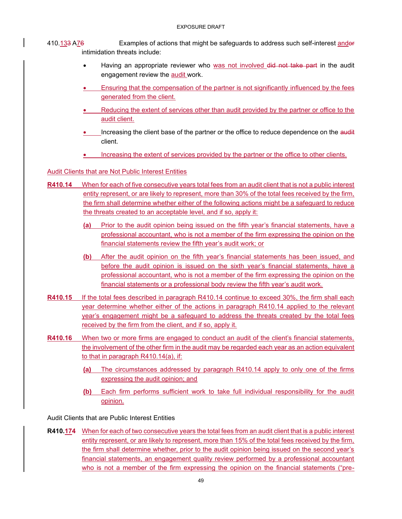## 410.133 A76 Examples of actions that might be safeguards to address such self-interest andor intimidation threats include:

- Having an appropriate reviewer who was not involved did not take part in the audit engagement review the audit work.
- Ensuring that the compensation of the partner is not significantly influenced by the fees generated from the client.
- Reducing the extent of services other than audit provided by the partner or office to the audit client.
- Increasing the client base of the partner or the office to reduce dependence on the audit client.
- Increasing the extent of services provided by the partner or the office to other clients.

#### Audit Clients that are Not Public Interest Entities

- **R410.14** When for each of five consecutive years total fees from an audit client that is not a public interest entity represent, or are likely to represent, more than 30% of the total fees received by the firm, the firm shall determine whether either of the following actions might be a safeguard to reduce the threats created to an acceptable level, and if so, apply it:
	- **(a)** Prior to the audit opinion being issued on the fifth year's financial statements, have a professional accountant, who is not a member of the firm expressing the opinion on the financial statements review the fifth year's audit work; or
	- **(b)** After the audit opinion on the fifth year's financial statements has been issued, and before the audit opinion is issued on the sixth year's financial statements, have a professional accountant, who is not a member of the firm expressing the opinion on the financial statements or a professional body review the fifth year's audit work.
- **R410.15** If the total fees described in paragraph R410.14 continue to exceed 30%, the firm shall each year determine whether either of the actions in paragraph R410.14 applied to the relevant year's engagement might be a safeguard to address the threats created by the total fees received by the firm from the client, and if so, apply it.
- **R410.16** When two or more firms are engaged to conduct an audit of the client's financial statements, the involvement of the other firm in the audit may be regarded each year as an action equivalent to that in paragraph R410.14(a), if:
	- **(a)** The circumstances addressed by paragraph R410.14 apply to only one of the firms expressing the audit opinion; and
	- **(b)** Each firm performs sufficient work to take full individual responsibility for the audit opinion.

Audit Clients that are Public Interest Entities

**R410.174** When for each of two consecutive years the total fees from an audit client that is a public interest entity represent, or are likely to represent, more than 15% of the total fees received by the firm, the firm shall determine whether, prior to the audit opinion being issued on the second year's financial statements, an engagement quality review performed by a professional accountant who is not a member of the firm expressing the opinion on the financial statements ("pre-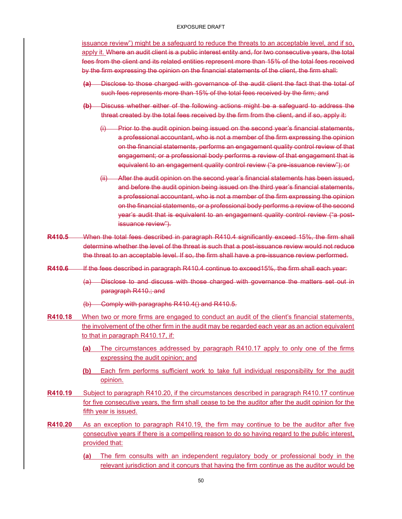#### EXPOSURE DRAFT

issuance review") might be a safeguard to reduce the threats to an acceptable level, and if so, apply it. Where an audit client is a public interest entity and, for two consecutive years, the total fees from the client and its related entities represent more than 15% of the total fees received by the firm expressing the opinion on the financial statements of the client, the firm shall:

- **(a)** Disclose to those charged with governance of the audit client the fact that the total of such fees represents more than 15% of the total fees received by the firm; and
- **(b)** Discuss whether either of the following actions might be a safeguard to address the threat created by the total fees received by the firm from the client, and if so, apply it:
	- (i) Prior to the audit opinion being issued on the second year's financial statements, a professional accountant, who is not a member of the firm expressing the opinion on the financial statements, performs an engagement quality control review of that engagement; or a professional body performs a review of that engagement that is equivalent to an engagement quality control review ("a pre-issuance review"); or
	- (ii) After the audit opinion on the second year's financial statements has been issued, and before the audit opinion being issued on the third year's financial statements, a professional accountant, who is not a member of the firm expressing the opinion on the financial statements, or a professional body performs a review of the second year's audit that is equivalent to an engagement quality control review ("a postissuance review").
- **R410.5** When the total fees described in paragraph R410.4 significantly exceed 15%, the firm shall determine whether the level of the threat is such that a post-issuance review would not reduce the threat to an acceptable level. If so, the firm shall have a pre-issuance review performed.
- R410.6 If the fees described in paragraph R410.4 continue to exceed15%, the firm shall each year:
	- (a) Disclose to and discuss with those charged with governance the matters set out in paragraph R410.; and
	- (b) Comply with paragraphs R410.4() and R410.5.
- **R410.18** When two or more firms are engaged to conduct an audit of the client's financial statements, the involvement of the other firm in the audit may be regarded each year as an action equivalent to that in paragraph R410.17, if:
	- **(a)** The circumstances addressed by paragraph R410.17 apply to only one of the firms expressing the audit opinion; and
	- **(b)** Each firm performs sufficient work to take full individual responsibility for the audit opinion.
- **R410.19** Subject to paragraph R410.20, if the circumstances described in paragraph R410.17 continue for five consecutive years, the firm shall cease to be the auditor after the audit opinion for the fifth year is issued.
- **R410.20** As an exception to paragraph R410.19, the firm may continue to be the auditor after five consecutive years if there is a compelling reason to do so having regard to the public interest, provided that:
	- **(a)** The firm consults with an independent regulatory body or professional body in the relevant jurisdiction and it concurs that having the firm continue as the auditor would be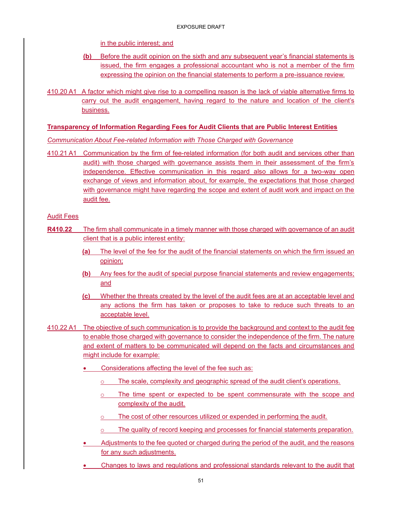in the public interest; and

- **(b)** Before the audit opinion on the sixth and any subsequent year's financial statements is issued, the firm engages a professional accountant who is not a member of the firm expressing the opinion on the financial statements to perform a pre-issuance review.
- 410.20 A1 A factor which might give rise to a compelling reason is the lack of viable alternative firms to carry out the audit engagement, having regard to the nature and location of the client's business.

#### **Transparency of Information Regarding Fees for Audit Clients that are Public Interest Entities**

*Communication About Fee-related Information with Those Charged with Governance*

410.21 A1 Communication by the firm of fee-related information (for both audit and services other than audit) with those charged with governance assists them in their assessment of the firm's independence. Effective communication in this regard also allows for a two-way open exchange of views and information about, for example, the expectations that those charged with governance might have regarding the scope and extent of audit work and impact on the audit fee.

Audit Fees

- **R410.22** The firm shall communicate in a timely manner with those charged with governance of an audit client that is a public interest entity:
	- **(a)** The level of the fee for the audit of the financial statements on which the firm issued an opinion;
	- **(b)** Any fees for the audit of special purpose financial statements and review engagements; and
	- **(c)** Whether the threats created by the level of the audit fees are at an acceptable level and any actions the firm has taken or proposes to take to reduce such threats to an acceptable level.
- 410.22 A1 The objective of such communication is to provide the background and context to the audit fee to enable those charged with governance to consider the independence of the firm. The nature and extent of matters to be communicated will depend on the facts and circumstances and might include for example:
	- Considerations affecting the level of the fee such as:
		- o The scale, complexity and geographic spread of the audit client's operations.
		- $\circ$  The time spent or expected to be spent commensurate with the scope and complexity of the audit.
		- o The cost of other resources utilized or expended in performing the audit.
		- o The quality of record keeping and processes for financial statements preparation.
	- Adjustments to the fee quoted or charged during the period of the audit, and the reasons for any such adjustments.
	- Changes to laws and regulations and professional standards relevant to the audit that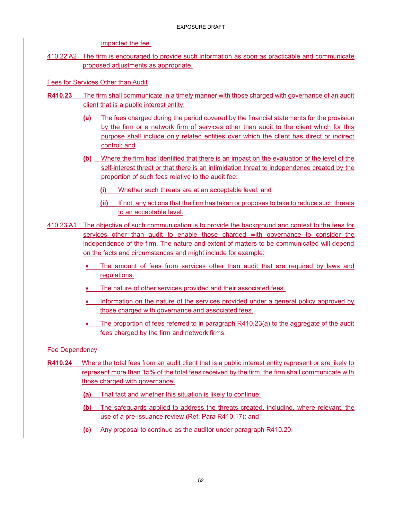impacted the fee.

410.22 A2 The firm is encouraged to provide such information as soon as practicable and communicate proposed adjustments as appropriate.

Fees for Services Other than Audit

- **R410.23** The firm shall communicate in a timely manner with those charged with governance of an audit client that is a public interest entity:
	- **(a)** The fees charged during the period covered by the financial statements for the provision by the firm or a network firm of services other than audit to the client which for this purpose shall include only related entities over which the client has direct or indirect control; and
	- **(b)** Where the firm has identified that there is an impact on the evaluation of the level of the self-interest threat or that there is an intimidation threat to independence created by the proportion of such fees relative to the audit fee:
		- **(i)** Whether such threats are at an acceptable level; and
		- **(ii)** If not, any actions that the firm has taken or proposes to take to reduce such threats to an acceptable level.
- 410.23 A1 The objective of such communication is to provide the background and context to the fees for services other than audit to enable those charged with governance to consider the independence of the firm. The nature and extent of matters to be communicated will depend on the facts and circumstances and might include for example:
	- The amount of fees from services other than audit that are required by laws and regulations.
	- The nature of other services provided and their associated fees.
	- Information on the nature of the services provided under a general policy approved by those charged with governance and associated fees.
	- The proportion of fees referred to in paragraph  $R410.23(a)$  to the aggregate of the audit fees charged by the firm and network firms.

Fee Dependency

- **R410.24** Where the total fees from an audit client that is a public interest entity represent or are likely to represent more than 15% of the total fees received by the firm, the firm shall communicate with those charged with governance:
	- **(a)** That fact and whether this situation is likely to continue;
	- **(b)** The safeguards applied to address the threats created, including, where relevant, the use of a pre-issuance review (Ref: Para R410.17); and
	- **(c)** Any proposal to continue as the auditor under paragraph R410.20.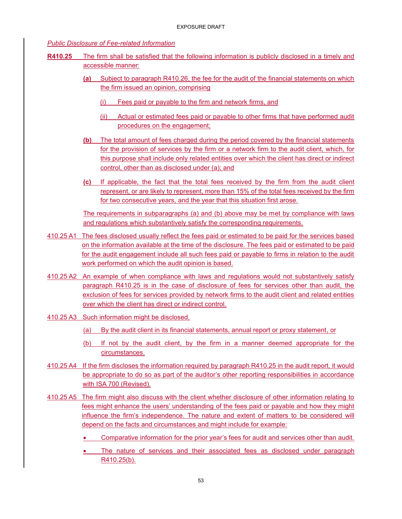#### *Public Disclosure of Fee-related Information*

- **R410.25** The firm shall be satisfied that the following information is publicly disclosed in a timely and accessible manner:
	- **(a)** Subject to paragraph R410.26, the fee for the audit of the financial statements on which the firm issued an opinion, comprising
		- (i) Fees paid or payable to the firm and network firms, and
		- (ii) Actual or estimated fees paid or payable to other firms that have performed audit procedures on the engagement;
	- **(b)** The total amount of fees charged during the period covered by the financial statements for the provision of services by the firm or a network firm to the audit client, which, for this purpose shall include only related entities over which the client has direct or indirect control, other than as disclosed under (a); and
	- **(c)** If applicable, the fact that the total fees received by the firm from the audit client represent, or are likely to represent, more than 15% of the total fees received by the firm for two consecutive years, and the year that this situation first arose.

The requirements in subparagraphs (a) and (b) above may be met by compliance with laws and regulations which substantively satisfy the corresponding requirements.

- 410.25 A1 The fees disclosed usually reflect the fees paid or estimated to be paid for the services based on the information available at the time of the disclosure. The fees paid or estimated to be paid for the audit engagement include all such fees paid or payable to firms in relation to the audit work performed on which the audit opinion is based.
- 410.25 A2 An example of when compliance with laws and regulations would not substantively satisfy paragraph R410.25 is in the case of disclosure of fees for services other than audit, the exclusion of fees for services provided by network firms to the audit client and related entities over which the client has direct or indirect control.
- 410.25 A3 Such information might be disclosed,
	- (a) By the audit client in its financial statements, annual report or proxy statement, or
	- (b) If not by the audit client, by the firm in a manner deemed appropriate for the circumstances.
- 410.25 A4 If the firm discloses the information required by paragraph R410.25 in the audit report, it would be appropriate to do so as part of the auditor's other reporting responsibilities in accordance with ISA 700 (Revised).
- 410.25 A5 The firm might also discuss with the client whether disclosure of other information relating to fees might enhance the users' understanding of the fees paid or payable and how they might influence the firm's independence. The nature and extent of matters to be considered will depend on the facts and circumstances and might include for example:
	- Comparative information for the prior year's fees for audit and services other than audit.
	- The nature of services and their associated fees as disclosed under paragraph R410.25(b).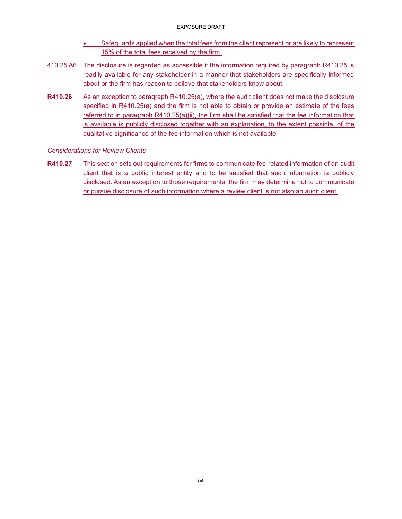- Safeguards applied when the total fees from the client represent or are likely to represent 15% of the total fees received by the firm.
- 410.25 A6 The disclosure is regarded as accessible if the information required by paragraph R410.25 is readily available for any stakeholder in a manner that stakeholders are specifically informed about or the firm has reason to believe that stakeholders know about.
- **R410.26** As an exception to paragraph R410.25(a), where the audit client does not make the disclosure specified in R410.25(a) and the firm is not able to obtain or provide an estimate of the fees referred to in paragraph R410.25(a)(ii), the firm shall be satisfied that the fee information that is available is publicly disclosed together with an explanation, to the extent possible, of the qualitative significance of the fee information which is not available.

## *Considerations for Review Clients*

**R410.27** This section sets out requirements for firms to communicate fee-related information of an audit client that is a public interest entity and to be satisfied that such information is publicly disclosed. As an exception to those requirements, the firm may determine not to communicate or pursue disclosure of such information where a review client is not also an audit client.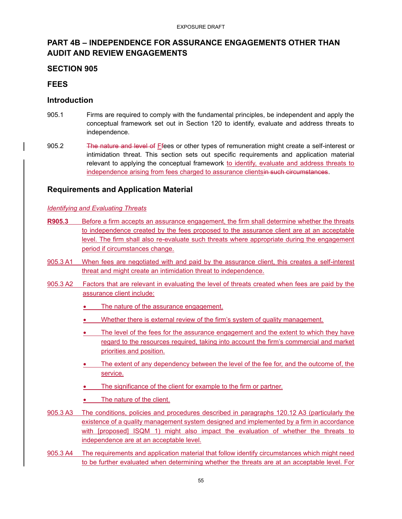## **PART 4B – INDEPENDENCE FOR ASSURANCE ENGAGEMENTS OTHER THAN AUDIT AND REVIEW ENGAGEMENTS**

## **SECTION 905**

## **FEES**

## **Introduction**

- 905.1 Firms are required to comply with the fundamental principles, be independent and apply the conceptual framework set out in Section 120 to identify, evaluate and address threats to independence.
- 905.2 The nature and level of Ffees or other types of remuneration might create a self-interest or intimidation threat. This section sets out specific requirements and application material relevant to applying the conceptual framework to identify, evaluate and address threats to independence arising from fees charged to assurance clientsin such circumstances.

## **Requirements and Application Material**

### *Identifying and Evaluating Threats*

- **R905.3** Before a firm accepts an assurance engagement, the firm shall determine whether the threats to independence created by the fees proposed to the assurance client are at an acceptable level. The firm shall also re-evaluate such threats where appropriate during the engagement period if circumstances change.
- 905.3 A1 When fees are negotiated with and paid by the assurance client, this creates a self-interest threat and might create an intimidation threat to independence.
- 905.3 A2 Factors that are relevant in evaluating the level of threats created when fees are paid by the assurance client include:
	- The nature of the assurance engagement.
	- Whether there is external review of the firm's system of quality management.
	- The level of the fees for the assurance engagement and the extent to which they have regard to the resources required, taking into account the firm's commercial and market priorities and position.
	- The extent of any dependency between the level of the fee for, and the outcome of, the service.
	- The significance of the client for example to the firm or partner.
	- The nature of the client.
- 905.3 A3 The conditions, policies and procedures described in paragraphs 120.12 A3 (particularly the existence of a quality management system designed and implemented by a firm in accordance with [proposed] ISQM 1) might also impact the evaluation of whether the threats to independence are at an acceptable level.
- 905.3 A4 The requirements and application material that follow identify circumstances which might need to be further evaluated when determining whether the threats are at an acceptable level. For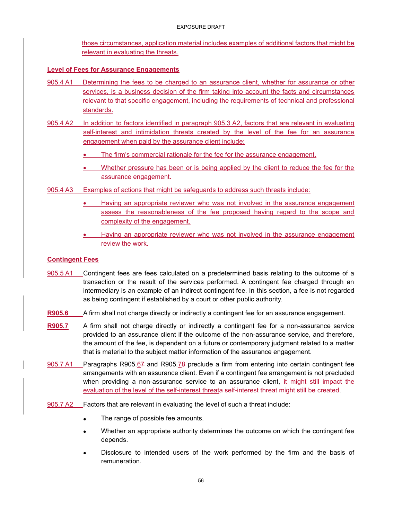those circumstances, application material includes examples of additional factors that might be relevant in evaluating the threats.

## **Level of Fees for Assurance Engagements**

- 905.4 A1 Determining the fees to be charged to an assurance client, whether for assurance or other services, is a business decision of the firm taking into account the facts and circumstances relevant to that specific engagement, including the requirements of technical and professional standards.
- 905.4 A2 In addition to factors identified in paragraph 905.3 A2, factors that are relevant in evaluating self-interest and intimidation threats created by the level of the fee for an assurance engagement when paid by the assurance client include:
	- The firm's commercial rationale for the fee for the assurance engagement.
	- Whether pressure has been or is being applied by the client to reduce the fee for the assurance engagement.
- 905.4 A3 Examples of actions that might be safeguards to address such threats include:
	- Having an appropriate reviewer who was not involved in the assurance engagement assess the reasonableness of the fee proposed having regard to the scope and complexity of the engagement.
	- Having an appropriate reviewer who was not involved in the assurance engagement review the work.

## **Contingent Fees**

- 905.5 A1 Contingent fees are fees calculated on a predetermined basis relating to the outcome of a transaction or the result of the services performed. A contingent fee charged through an intermediary is an example of an indirect contingent fee. In this section, a fee is not regarded as being contingent if established by a court or other public authority.
- **R905.6** A firm shall not charge directly or indirectly a contingent fee for an assurance engagement.
- **R905.7** A firm shall not charge directly or indirectly a contingent fee for a non-assurance service provided to an assurance client if the outcome of the non-assurance service, and therefore, the amount of the fee, is dependent on a future or contemporary judgment related to a matter that is material to the subject matter information of the assurance engagement.
- 905.7 A1 Paragraphs R905.67 and R905.78 preclude a firm from entering into certain contingent fee arrangements with an assurance client. Even if a contingent fee arrangement is not precluded when providing a non-assurance service to an assurance client, it might still impact the evaluation of the level of the self-interest threata self-interest threat might still be created.
- 905.7 A2 Factors that are relevant in evaluating the level of such a threat include:
	- The range of possible fee amounts.
	- Whether an appropriate authority determines the outcome on which the contingent fee depends.
	- Disclosure to intended users of the work performed by the firm and the basis of remuneration.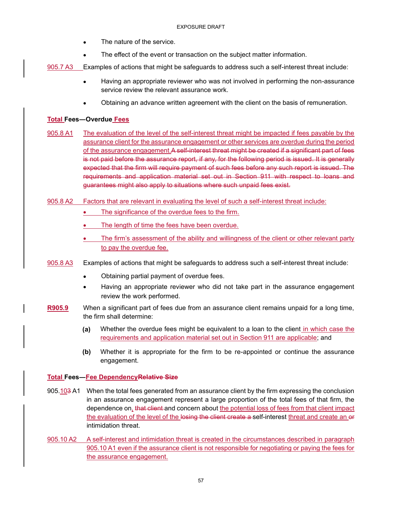- The nature of the service.
- The effect of the event or transaction on the subject matter information.

905.7 A3 Examples of actions that might be safeguards to address such a self-interest threat include:

- Having an appropriate reviewer who was not involved in performing the non-assurance service review the relevant assurance work.
- Obtaining an advance written agreement with the client on the basis of remuneration.

#### **Total Fees―Overdue Fees**

- 905.8 A1 The evaluation of the level of the self-interest threat might be impacted if fees payable by the assurance client for the assurance engagement or other services are overdue during the period of the assurance engagement. A self-interest threat might be created if a significant part of fees is not paid before the assurance report, if any, for the following period is issued. It is generally expected that the firm will require payment of such fees before any such report is issued. The requirements and application material set out in Section 911 with respect to loans and guarantees might also apply to situations where such unpaid fees exist.
- 905.8 A2 Factors that are relevant in evaluating the level of such a self-interest threat include:
	- The significance of the overdue fees to the firm.
	- The length of time the fees have been overdue.
	- The firm's assessment of the ability and willingness of the client or other relevant party to pay the overdue fee.
- 905.8 A3 Examples of actions that might be safeguards to address such a self-interest threat include:
	- Obtaining partial payment of overdue fees.
	- Having an appropriate reviewer who did not take part in the assurance engagement review the work performed.
- **R905.9** When a significant part of fees due from an assurance client remains unpaid for a long time, the firm shall determine:
	- **(a)** Whether the overdue fees might be equivalent to a loan to the client in which case the requirements and application material set out in Section 911 are applicable; and
	- **(b)** Whether it is appropriate for the firm to be re-appointed or continue the assurance engagement.

#### **Total Fees―Fee DependencyRelative Size**

- 905.103 A1 When the total fees generated from an assurance client by the firm expressing the conclusion in an assurance engagement represent a large proportion of the total fees of that firm, the dependence on, that client and concern about the potential loss of fees from that client impact the evaluation of the level of the losing the client create a self-interest threat and create an or intimidation threat.
- 905.10 A2 A self-interest and intimidation threat is created in the circumstances described in paragraph 905.10 A1 even if the assurance client is not responsible for negotiating or paying the fees for the assurance engagement.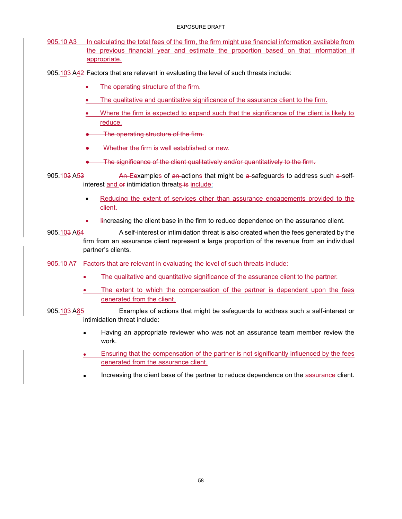#### EXPOSURE DRAFT

- 905.10 A3 In calculating the total fees of the firm, the firm might use financial information available from the previous financial year and estimate the proportion based on that information if appropriate.
- 905.103 A42 Factors that are relevant in evaluating the level of such threats include:
	- The operating structure of the firm.
	- The qualitative and quantitative significance of the assurance client to the firm.
	- Where the firm is expected to expand such that the significance of the client is likely to reduce.
	- The operating structure of the firm.
	- Whether the firm is well established or new.
	- The significance of the client qualitatively and/or quantitatively to the firm.

905.103 A53 An Eexamples of an actions that might be a-safeguards to address such a-selfinterest and or intimidation threats is include:

- Reducing the extent of services other than assurance engagements provided to the client.
- lincreasing the client base in the firm to reduce dependence on the assurance client.
- 905.103 A64 A self-interest or intimidation threat is also created when the fees generated by the firm from an assurance client represent a large proportion of the revenue from an individual partner's clients.

905.10 A7 Factors that are relevant in evaluating the level of such threats include:

- The qualitative and quantitative significance of the assurance client to the partner.
- The extent to which the compensation of the partner is dependent upon the fees generated from the client.
- 905.103 A85 Examples of actions that might be safeguards to address such a self-interest or intimidation threat include:
	- Having an appropriate reviewer who was not an assurance team member review the work.
	- Ensuring that the compensation of the partner is not significantly influenced by the fees generated from the assurance client.
	- Increasing the client base of the partner to reduce dependence on the assurance-client.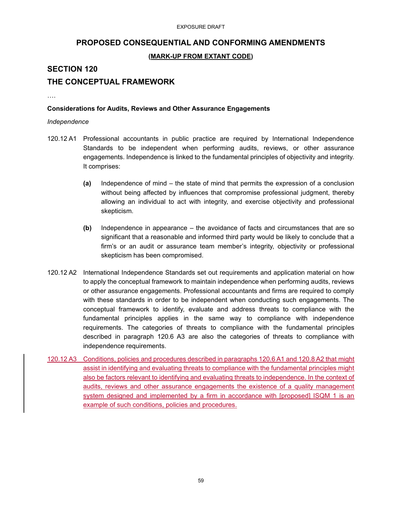## **PROPOSED CONSEQUENTIAL AND CONFORMING AMENDMENTS**

## **(MARK-UP FROM EXTANT CODE)**

## **SECTION 120**

## **THE CONCEPTUAL FRAMEWORK**

….

#### **Considerations for Audits, Reviews and Other Assurance Engagements**

#### *Independence*

- 120.12 A1 Professional accountants in public practice are required by International Independence Standards to be independent when performing audits, reviews, or other assurance engagements. Independence is linked to the fundamental principles of objectivity and integrity. It comprises:
	- **(a)** Independence of mind the state of mind that permits the expression of a conclusion without being affected by influences that compromise professional judgment, thereby allowing an individual to act with integrity, and exercise objectivity and professional skepticism.
	- **(b)** Independence in appearance the avoidance of facts and circumstances that are so significant that a reasonable and informed third party would be likely to conclude that a firm's or an audit or assurance team member's integrity, objectivity or professional skepticism has been compromised.
- 120.12 A2 International Independence Standards set out requirements and application material on how to apply the conceptual framework to maintain independence when performing audits, reviews or other assurance engagements. Professional accountants and firms are required to comply with these standards in order to be independent when conducting such engagements. The conceptual framework to identify, evaluate and address threats to compliance with the fundamental principles applies in the same way to compliance with independence requirements. The categories of threats to compliance with the fundamental principles described in paragraph 120.6 A3 are also the categories of threats to compliance with independence requirements.
- 120.12 A3 Conditions, policies and procedures described in paragraphs 120.6 A1 and 120.8 A2 that might assist in identifying and evaluating threats to compliance with the fundamental principles might also be factors relevant to identifying and evaluating threats to independence. In the context of audits, reviews and other assurance engagements the existence of a quality management system designed and implemented by a firm in accordance with [proposed] ISQM 1 is an example of such conditions, policies and procedures.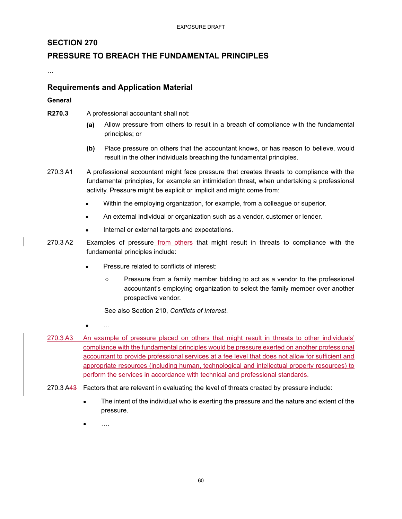## **SECTION 270**

## **PRESSURE TO BREACH THE FUNDAMENTAL PRINCIPLES**

…

## **Requirements and Application Material**

#### **General**

- **R270.3** A professional accountant shall not:
	- **(a)** Allow pressure from others to result in a breach of compliance with the fundamental principles; or
	- **(b)** Place pressure on others that the accountant knows, or has reason to believe, would result in the other individuals breaching the fundamental principles.
- 270.3 A1 A professional accountant might face pressure that creates threats to compliance with the fundamental principles, for example an intimidation threat, when undertaking a professional activity. Pressure might be explicit or implicit and might come from:
	- Within the employing organization, for example, from a colleague or superior.
	- An external individual or organization such as a vendor, customer or lender.
	- Internal or external targets and expectations.
- 270.3 A2 Examples of pressure from others that might result in threats to compliance with the fundamental principles include:
	- Pressure related to conflicts of interest:
		- Pressure from a family member bidding to act as a vendor to the professional accountant's employing organization to select the family member over another prospective vendor.

See also Section 210, *Conflicts of Interest*.

- $\bullet$  …
- 270.3 A3 An example of pressure placed on others that might result in threats to other individuals' compliance with the fundamental principles would be pressure exerted on another professional accountant to provide professional services at a fee level that does not allow for sufficient and appropriate resources (including human, technological and intellectual property resources) to perform the services in accordance with technical and professional standards.
- 270.3 A43 Factors that are relevant in evaluating the level of threats created by pressure include:
	- The intent of the individual who is exerting the pressure and the nature and extent of the pressure.
	- ….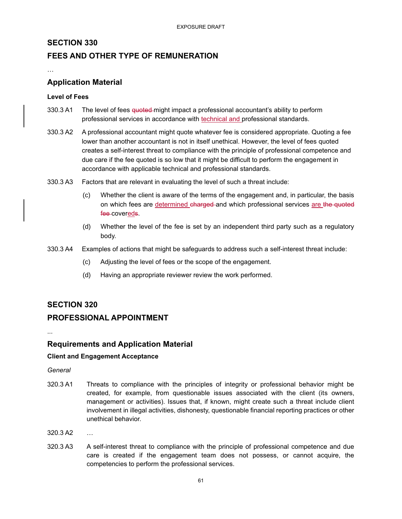## **SECTION 330**

## **FEES AND OTHER TYPE OF REMUNERATION**

…

## **Application Material**

#### **Level of Fees**

- 330.3 A1 The level of fees quoted-might impact a professional accountant's ability to perform professional services in accordance with technical and professional standards.
- 330.3 A2 A professional accountant might quote whatever fee is considered appropriate. Quoting a fee lower than another accountant is not in itself unethical. However, the level of fees quoted creates a self-interest threat to compliance with the principle of professional competence and due care if the fee quoted is so low that it might be difficult to perform the engagement in accordance with applicable technical and professional standards.
- 330.3 A3 Factors that are relevant in evaluating the level of such a threat include:
	- (c) Whether the client is aware of the terms of the engagement and, in particular, the basis on which fees are determined charged and which professional services are the quoted fee-covereds.
	- (d) Whether the level of the fee is set by an independent third party such as a regulatory body.
- 330.3 A4 Examples of actions that might be safeguards to address such a self-interest threat include:
	- (c) Adjusting the level of fees or the scope of the engagement.
	- (d) Having an appropriate reviewer review the work performed.

### **SECTION 320**

## **PROFESSIONAL APPOINTMENT**

...

### **Requirements and Application Material**

#### **Client and Engagement Acceptance**

*General*

- 320.3 A1 Threats to compliance with the principles of integrity or professional behavior might be created, for example, from questionable issues associated with the client (its owners, management or activities). Issues that, if known, might create such a threat include client involvement in illegal activities, dishonesty, questionable financial reporting practices or other unethical behavior.
- 320.3 A2 …
- 320.3 A3 A self-interest threat to compliance with the principle of professional competence and due care is created if the engagement team does not possess, or cannot acquire, the competencies to perform the professional services.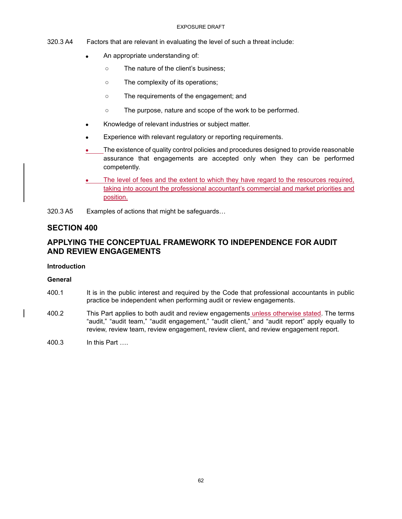#### EXPOSURE DRAFT

- 320.3 A4 Factors that are relevant in evaluating the level of such a threat include:
	- An appropriate understanding of:
		- The nature of the client's business;
		- The complexity of its operations;
		- The requirements of the engagement; and
		- The purpose, nature and scope of the work to be performed.
	- Knowledge of relevant industries or subject matter.
	- Experience with relevant regulatory or reporting requirements.
	- The existence of quality control policies and procedures designed to provide reasonable assurance that engagements are accepted only when they can be performed competently.
	- The level of fees and the extent to which they have regard to the resources required, taking into account the professional accountant's commercial and market priorities and position.
- 320.3 A5 Examples of actions that might be safeguards…

## **SECTION 400**

## **APPLYING THE CONCEPTUAL FRAMEWORK TO INDEPENDENCE FOR AUDIT AND REVIEW ENGAGEMENTS**

#### **Introduction**

#### **General**

- 400.1 It is in the public interest and required by the Code that professional accountants in public practice be independent when performing audit or review engagements.
- 400.2 This Part applies to both audit and review engagements unless otherwise stated. The terms "audit," "audit team," "audit engagement," "audit client," and "audit report" apply equally to review, review team, review engagement, review client, and review engagement report.
- 400.3 In this Part ….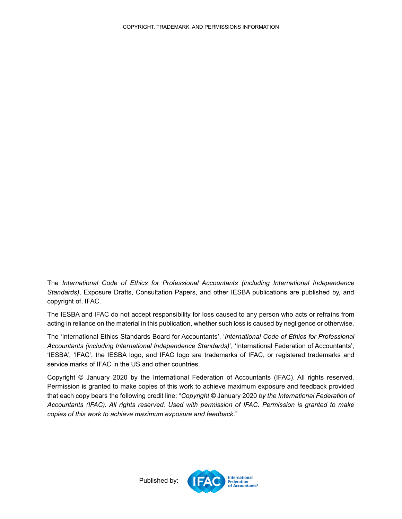The *International Code of Ethics for Professional Accountants (including International Independence Standards)*, Exposure Drafts, Consultation Papers, and other IESBA publications are published by, and copyright of, IFAC.

The IESBA and IFAC do not accept responsibility for loss caused to any person who acts or refrains from acting in reliance on the material in this publication, whether such loss is caused by negligence or otherwise.

The 'International Ethics Standards Board for Accountants', '*International Code of Ethics for Professional Accountants (including International Independence Standards)*', 'International Federation of Accountants', 'IESBA', 'IFAC', the IESBA logo, and IFAC logo are trademarks of IFAC, or registered trademarks and service marks of IFAC in the US and other countries.

<span id="page-62-0"></span>Copyright © January 2020 by the International Federation of Accountants (IFAC). All rights reserved. Permission is granted to make copies of this work to achieve maximum exposure and feedback provided that each copy bears the following credit line: "*Copyright ©* January 2020 *by the International Federation of Accountants (IFAC). All rights reserved. Used with permission of IFAC. Permission is granted to make copies of this work to achieve maximum exposure and feedback*."